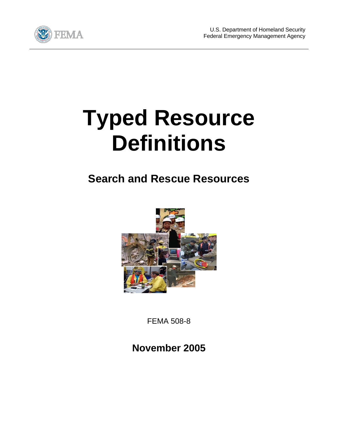

## **Typed Resource Definitions**

## **Search and Rescue Resources**



FEMA 508-8

**November 2005**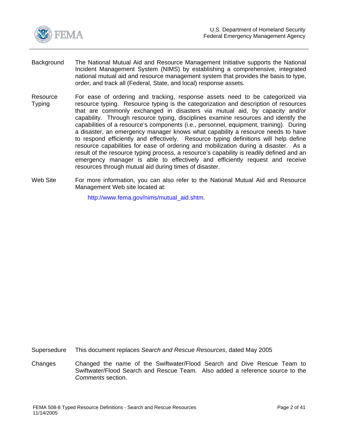<span id="page-1-0"></span>

- Background The National Mutual Aid and Resource Management Initiative supports the National Incident Management System (NIMS) by establishing a comprehensive, integrated national mutual aid and resource management system that provides the basis to type, order, and track all (Federal, State, and local) response assets.
- Resource Typing For ease of ordering and tracking, response assets need to be categorized via resource typing. Resource typing is the categorization and description of resources that are commonly exchanged in disasters via mutual aid, by capacity and/or capability. Through resource typing, disciplines examine resources and identify the capabilities of a resource's components (i.e., personnel, equipment, training). During a disaster, an emergency manager knows what capability a resource needs to have to respond efficiently and effectively. Resource typing definitions will help define resource capabilities for ease of ordering and mobilization during a disaster. As a result of the resource typing process, a resource's capability is readily defined and an emergency manager is able to effectively and efficiently request and receive resources through mutual aid during times of disaster.
- Web Site For more information, you can also refer to the National Mutual Aid and Resource Management Web site located at:

http://www.fema.gov/nims/mutual\_aid.shtm.

Supersedure This document replaces *Search and Rescue Resources*, dated May 2005

Changes Changed the name of the Swiftwater/Flood Search and Dive Rescue Team to Swiftwater/Flood Search and Rescue Team. Also added a reference source to the *Comments* section.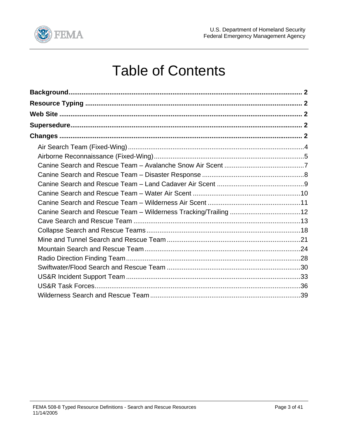

## **Table of Contents**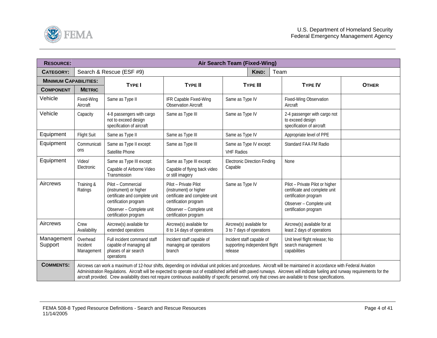<span id="page-3-0"></span>

| <b>RESOURCE:</b>             |                                    |                                                                                                                                                                                                                                                                                                                                                                                                                                                                                                                        |                                                                                                                                                                | Air Search Team (Fixed-Wing)                                          |                                                                                                                                                |              |  |  |  |
|------------------------------|------------------------------------|------------------------------------------------------------------------------------------------------------------------------------------------------------------------------------------------------------------------------------------------------------------------------------------------------------------------------------------------------------------------------------------------------------------------------------------------------------------------------------------------------------------------|----------------------------------------------------------------------------------------------------------------------------------------------------------------|-----------------------------------------------------------------------|------------------------------------------------------------------------------------------------------------------------------------------------|--------------|--|--|--|
| <b>CATEGORY:</b>             |                                    | Search & Rescue (ESF #9)                                                                                                                                                                                                                                                                                                                                                                                                                                                                                               |                                                                                                                                                                | <b>KIND:</b><br>Team                                                  |                                                                                                                                                |              |  |  |  |
| <b>MINIMUM CAPABILITIES:</b> |                                    | <b>TYPE I</b>                                                                                                                                                                                                                                                                                                                                                                                                                                                                                                          | <b>TYPE II</b>                                                                                                                                                 | <b>TYPE III</b>                                                       | <b>TYPE IV</b>                                                                                                                                 | <b>OTHER</b> |  |  |  |
| <b>COMPONENT</b>             | <b>METRIC</b>                      |                                                                                                                                                                                                                                                                                                                                                                                                                                                                                                                        |                                                                                                                                                                |                                                                       |                                                                                                                                                |              |  |  |  |
| Vehicle                      | Fixed-Wing<br>Aircraft             | Same as Type II                                                                                                                                                                                                                                                                                                                                                                                                                                                                                                        | IFR Capable Fixed-Wing<br><b>Observation Aircraft</b>                                                                                                          | Same as Type IV                                                       | Fixed-Wing Observation<br>Aircraft                                                                                                             |              |  |  |  |
| Vehicle                      | Capacity                           | 4-8 passengers with cargo<br>not to exceed design<br>specification of aircraft                                                                                                                                                                                                                                                                                                                                                                                                                                         | Same as Type III                                                                                                                                               | Same as Type IV                                                       | 2-4 passenger with cargo not<br>to exceed design<br>specification of aircraft                                                                  |              |  |  |  |
| Equipment                    | <b>Flight Suit</b>                 | Same as Type II                                                                                                                                                                                                                                                                                                                                                                                                                                                                                                        | Same as Type III                                                                                                                                               | Same as Type IV                                                       | Appropriate level of PPE                                                                                                                       |              |  |  |  |
| Equipment                    | Communicati<br>ons                 | Same as Type II except:<br>Satellite Phone                                                                                                                                                                                                                                                                                                                                                                                                                                                                             | Same as Type III                                                                                                                                               | Same as Type IV except:<br><b>VHF Radios</b>                          | Standard FAA FM Radio                                                                                                                          |              |  |  |  |
| Equipment                    | Video/<br>Electronic               | Same as Type III except:<br>Capable of Airborne Video<br>Transmission                                                                                                                                                                                                                                                                                                                                                                                                                                                  | Same as Type III except:<br>Capable of flying back video<br>or still imagery                                                                                   | <b>Electronic Direction Finding</b><br>Capable                        | None                                                                                                                                           |              |  |  |  |
| Aircrews                     | Training &<br>Ratings              | Pilot - Commercial<br>(instrument) or higher<br>certificate and complete unit<br>certification program<br>Observer - Complete unit<br>certification program                                                                                                                                                                                                                                                                                                                                                            | Pilot - Private Pilot<br>(instrument) or higher<br>certificate and complete unit<br>certification program<br>Observer - Complete unit<br>certification program | Same as Type IV                                                       | Pilot - Private Pilot or higher<br>certificate and complete unit<br>certification program<br>Observer - Complete unit<br>certification program |              |  |  |  |
| Aircrews                     | Crew<br>Availability               | Aircrew(s) available for<br>extended operations                                                                                                                                                                                                                                                                                                                                                                                                                                                                        | Aircrew(s) available for<br>8 to 14 days of operations                                                                                                         | Aircrew(s) available for<br>3 to 7 days of operations                 | Aircrew(s) available for at<br>least 2 days of operations                                                                                      |              |  |  |  |
| Management<br>Support        | Overhead<br>Incident<br>Management | Full incident command staff<br>capable of managing all<br>phases of air search<br>operations                                                                                                                                                                                                                                                                                                                                                                                                                           | Incident staff capable of<br>managing air operations<br>branch                                                                                                 | Incident staff capable of<br>supporting independent flight<br>release | Unit level flight release; No<br>search management<br>capabilities                                                                             |              |  |  |  |
| <b>COMMENTS:</b>             |                                    | Aircrews can work a maximum of 12-hour shifts, depending on individual unit policies and procedures. Aircraft will be maintained in accordance with Federal Aviation<br>Administration Regulations. Aircraft will be expected to operate out of established airfield with paved runways. Aircrews will indicate fueling and runway requirements for the<br>aircraft provided. Crew availability does not require continuous availability of specific personnel, only that crews are available to those specifications. |                                                                                                                                                                |                                                                       |                                                                                                                                                |              |  |  |  |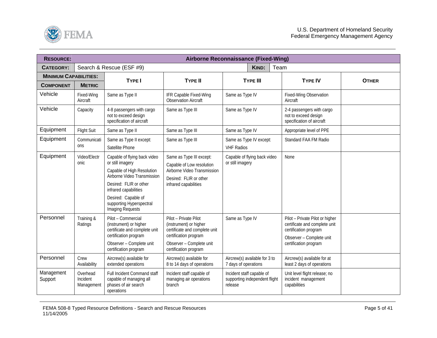<span id="page-4-0"></span>

| <b>RESOURCE:</b>             |                                    |                                                                                                                                                                                                                                                |                                                                                                                                                                | <b>Airborne Reconnaissance (Fixed-Wing)</b>                           |                                                                                                                                                |              |
|------------------------------|------------------------------------|------------------------------------------------------------------------------------------------------------------------------------------------------------------------------------------------------------------------------------------------|----------------------------------------------------------------------------------------------------------------------------------------------------------------|-----------------------------------------------------------------------|------------------------------------------------------------------------------------------------------------------------------------------------|--------------|
| <b>CATEGORY:</b>             |                                    | Search & Rescue (ESF #9)                                                                                                                                                                                                                       |                                                                                                                                                                | KIND:<br>Team                                                         |                                                                                                                                                |              |
| <b>MINIMUM CAPABILITIES:</b> |                                    | <b>TYPE I</b>                                                                                                                                                                                                                                  | <b>TYPE II</b>                                                                                                                                                 | <b>TYPE III</b>                                                       | <b>TYPE IV</b>                                                                                                                                 | <b>OTHER</b> |
| <b>COMPONENT</b>             | <b>METRIC</b>                      |                                                                                                                                                                                                                                                |                                                                                                                                                                |                                                                       |                                                                                                                                                |              |
| Vehicle                      | Fixed-Wing<br>Aircraft             | Same as Type II                                                                                                                                                                                                                                | IFR Capable Fixed-Wing<br><b>Observation Aircraft</b>                                                                                                          | Same as Type IV                                                       | Fixed-Wing Observation<br>Aircraft                                                                                                             |              |
| Vehicle                      | Capacity                           | 4-8 passengers with cargo<br>not to exceed design<br>specification of aircraft                                                                                                                                                                 | Same as Type III                                                                                                                                               | Same as Type IV                                                       | 2-4 passengers with cargo<br>not to exceed design<br>specification of aircraft                                                                 |              |
| Equipment                    | <b>Flight Suit</b>                 | Same as Type II                                                                                                                                                                                                                                | Same as Type III                                                                                                                                               | Same as Type IV                                                       | Appropriate level of PPE                                                                                                                       |              |
| Equipment                    | Communicati<br>ons                 | Same as Type II except:<br>Satellite Phone                                                                                                                                                                                                     | Same as Type III                                                                                                                                               | Same as Type IV except:<br><b>VHF Radios</b>                          | Standard FAA FM Radio                                                                                                                          |              |
| Equipment                    | Video/Electr<br>onic               | Capable of flying back video<br>or still imagery<br>Capable of High Resolution<br>Airborne Video Transmission<br>Desired: FLIR or other<br>infrared capabilities<br>Desired: Capable of<br>supporting Hyperspectral<br><b>Imaging Requests</b> | Same as Type III except:<br>Capable of Low resolution<br>Airborne Video Transmission<br>Desired: FLIR or other<br>infrared capabilities                        | Capable of flying back video<br>or still imagery                      | None                                                                                                                                           |              |
| Personnel                    | Training &<br>Ratings              | Pilot - Commercial<br>(instrument) or higher<br>certificate and complete unit<br>certification program<br>Observer - Complete unit<br>certification program                                                                                    | Pilot - Private Pilot<br>(instrument) or higher<br>certificate and complete unit<br>certification program<br>Observer - Complete unit<br>certification program | Same as Type IV                                                       | Pilot - Private Pilot or higher<br>certificate and complete unit<br>certification program<br>Observer - Complete unit<br>certification program |              |
| Personnel                    | Crew<br>Availability               | Aircrew(s) available for<br>extended operations                                                                                                                                                                                                | Aircrew(s) available for<br>8 to 14 days of operations                                                                                                         | Aircrew(s) available for 3 to<br>7 days of operations                 | Aircrew(s) available for at<br>least 2 days of operations                                                                                      |              |
| Management<br>Support        | Overhead<br>Incident<br>Management | Full Incident Command staff<br>capable of managing all<br>phases of air search<br>operations                                                                                                                                                   | Incident staff capable of<br>managing air operations<br>branch                                                                                                 | Incident staff capable of<br>supporting independent flight<br>release | Unit level flight release; no<br>incident management<br>capabilities                                                                           |              |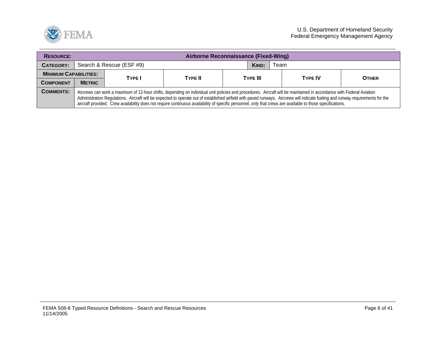

| <b>RESOURCE:</b>             |                                                                                                                                                                                                                                                                                                                                                                                                                                                                                                                        | Airborne Reconnaissance (Fixed-Wing) |         |  |                 |      |                |              |  |  |  |
|------------------------------|------------------------------------------------------------------------------------------------------------------------------------------------------------------------------------------------------------------------------------------------------------------------------------------------------------------------------------------------------------------------------------------------------------------------------------------------------------------------------------------------------------------------|--------------------------------------|---------|--|-----------------|------|----------------|--------------|--|--|--|
| CATEGORY:                    | Search & Rescue (ESF #9)                                                                                                                                                                                                                                                                                                                                                                                                                                                                                               |                                      |         |  |                 | Team |                |              |  |  |  |
| <b>MINIMUM CAPABILITIES:</b> |                                                                                                                                                                                                                                                                                                                                                                                                                                                                                                                        | TYPE I                               | TYPE II |  | <b>TYPE III</b> |      | <b>TYPE IV</b> | <b>OTHER</b> |  |  |  |
| <b>COMPONENT</b>             | <b>METRIC</b>                                                                                                                                                                                                                                                                                                                                                                                                                                                                                                          |                                      |         |  |                 |      |                |              |  |  |  |
| <b>COMMENTS:</b>             | Aircrews can work a maximum of 12-hour shifts, depending on individual unit policies and procedures. Aircraft will be maintained in accordance with Federal Aviation<br>Administration Regulations. Aircraft will be expected to operate out of established airfield with paved runways. Aircrews will indicate fueling and runway requirements for the<br>aircraft provided. Crew availability does not require continuous availability of specific personnel, only that crews are available to those specifications. |                                      |         |  |                 |      |                |              |  |  |  |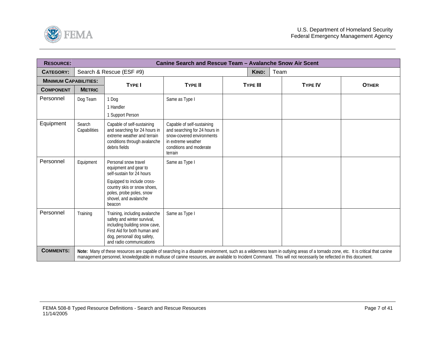<span id="page-6-0"></span>

| <b>RESOURCE:</b>             |                        |                                                                                                                                                                                                                                                                                                                                                      | Canine Search and Rescue Team - Avalanche Snow Air Scent                                                                                             |                 |      |                |              |
|------------------------------|------------------------|------------------------------------------------------------------------------------------------------------------------------------------------------------------------------------------------------------------------------------------------------------------------------------------------------------------------------------------------------|------------------------------------------------------------------------------------------------------------------------------------------------------|-----------------|------|----------------|--------------|
| <b>CATEGORY:</b>             |                        | Search & Rescue (ESF #9)                                                                                                                                                                                                                                                                                                                             |                                                                                                                                                      | <b>KIND:</b>    | Team |                |              |
| <b>MINIMUM CAPABILITIES:</b> |                        | <b>TYPE I</b>                                                                                                                                                                                                                                                                                                                                        | <b>TYPE II</b>                                                                                                                                       | <b>TYPE III</b> |      | <b>TYPE IV</b> | <b>OTHER</b> |
| <b>COMPONENT</b>             | <b>METRIC</b>          |                                                                                                                                                                                                                                                                                                                                                      |                                                                                                                                                      |                 |      |                |              |
| Personnel                    | Dog Team               | 1 Dog                                                                                                                                                                                                                                                                                                                                                | Same as Type I                                                                                                                                       |                 |      |                |              |
|                              |                        | 1 Handler                                                                                                                                                                                                                                                                                                                                            |                                                                                                                                                      |                 |      |                |              |
|                              |                        | 1 Support Person                                                                                                                                                                                                                                                                                                                                     |                                                                                                                                                      |                 |      |                |              |
| Equipment                    | Search<br>Capabilities | Capable of self-sustaining<br>and searching for 24 hours in<br>extreme weather and terrain<br>conditions through avalanche<br>debris fields                                                                                                                                                                                                          | Capable of self-sustaining<br>and searching for 24 hours in<br>snow-covered environments<br>in extreme weather<br>conditions and moderate<br>terrain |                 |      |                |              |
| Personnel                    | Equipment              | Personal snow travel<br>equipment and gear to<br>self-sustain for 24 hours<br>Equipped to include cross-<br>country skis or snow shoes,<br>poles, probe poles, snow<br>shovel, and avalanche<br>beacon                                                                                                                                               | Same as Type I                                                                                                                                       |                 |      |                |              |
| Personnel                    | Training               | Training, including avalanche<br>safety and winter survival,<br>including building snow cave,<br>First Aid for both human and<br>dog, personal/ dog safety,<br>and radio communications                                                                                                                                                              | Same as Type I                                                                                                                                       |                 |      |                |              |
| <b>COMMENTS:</b>             |                        | Note: Many of these resources are capable of searching in a disaster environment, such as a wilderness team in outlying areas of a tornado zone, etc. It is critical that canine<br>management personnel, knowledgeable in multiuse of canine resources, are available to Incident Command. This will not necessarily be reflected in this document. |                                                                                                                                                      |                 |      |                |              |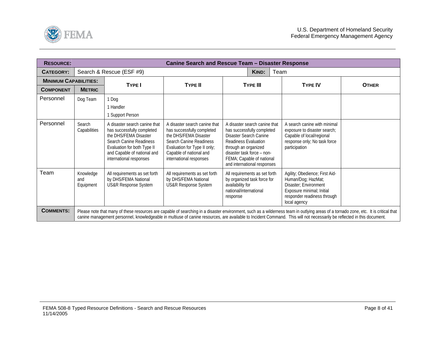<span id="page-7-0"></span>

| <b>RESOURCE:</b>             |                               |                                                                                                                                                                                                                 | <b>Canine Search and Rescue Team - Disaster Response</b>                                                                                                                                              |                                                                                                                                                                                                                                        |       |                                                                                                                                                                                                                                                                                                                                                                 |              |
|------------------------------|-------------------------------|-----------------------------------------------------------------------------------------------------------------------------------------------------------------------------------------------------------------|-------------------------------------------------------------------------------------------------------------------------------------------------------------------------------------------------------|----------------------------------------------------------------------------------------------------------------------------------------------------------------------------------------------------------------------------------------|-------|-----------------------------------------------------------------------------------------------------------------------------------------------------------------------------------------------------------------------------------------------------------------------------------------------------------------------------------------------------------------|--------------|
| CATEGORY:                    |                               | Search & Rescue (ESF #9)                                                                                                                                                                                        |                                                                                                                                                                                                       |                                                                                                                                                                                                                                        | KIND: | Team                                                                                                                                                                                                                                                                                                                                                            |              |
| <b>MINIMUM CAPABILITIES:</b> |                               | TYPE I                                                                                                                                                                                                          | <b>TYPE II</b>                                                                                                                                                                                        | <b>TYPE III</b>                                                                                                                                                                                                                        |       | <b>TYPE IV</b>                                                                                                                                                                                                                                                                                                                                                  | <b>OTHER</b> |
| <b>COMPONENT</b>             | <b>METRIC</b>                 |                                                                                                                                                                                                                 |                                                                                                                                                                                                       |                                                                                                                                                                                                                                        |       |                                                                                                                                                                                                                                                                                                                                                                 |              |
| Personnel                    | Dog Team                      | 1 Dog<br>1 Handler<br>1 Support Person                                                                                                                                                                          |                                                                                                                                                                                                       |                                                                                                                                                                                                                                        |       |                                                                                                                                                                                                                                                                                                                                                                 |              |
| Personnel                    | Search<br>Capabilities        | A disaster search canine that<br>has successfully completed<br>the DHS/FEMA Disaster<br><b>Search Canine Readiness</b><br>Evaluation for both Type II<br>and Capable of national and<br>international responses | A disaster search canine that<br>has successfully completed<br>the DHS/FEMA Disaster<br>Search Canine Readiness<br>Evaluation for Type II only;<br>Capable of national and<br>international responses | A disaster search canine that<br>has successfully completed<br>Disaster Search Canine<br><b>Readiness Evaluation</b><br>through an organized<br>disaster task force - non-<br>FEMA; Capable of national<br>and international responses |       | A search canine with minimal<br>exposure to disaster search;<br>Capable of local/regional<br>response only; No task force<br>participation                                                                                                                                                                                                                      |              |
| Team                         | Knowledge<br>and<br>Equipment | All requirements as set forth<br>by DHS/FEMA National<br><b>US&amp;R Response System</b>                                                                                                                        | All requirements as set forth<br>by DHS/FEMA National<br><b>US&amp;R Response System</b>                                                                                                              | All requirements as set forth<br>by organized task force for<br>availability for<br>national/international<br>response                                                                                                                 |       | Agility; Obedience; First Aid-<br>Human/Dog; HazMat;<br>Disaster; Environment<br>Exposure minimal; Initial<br>responder readiness through<br>local agency                                                                                                                                                                                                       |              |
| <b>COMMENTS:</b>             |                               |                                                                                                                                                                                                                 |                                                                                                                                                                                                       |                                                                                                                                                                                                                                        |       | Please note that many of these resources are capable of searching in a disaster environment, such as a wilderness team in outlying areas of a tornado zone, etc. It is critical that<br>canine management personnel, knowledgeable in multiuse of canine resources, are available to Incident Command. This will not necessarily be reflected in this document. |              |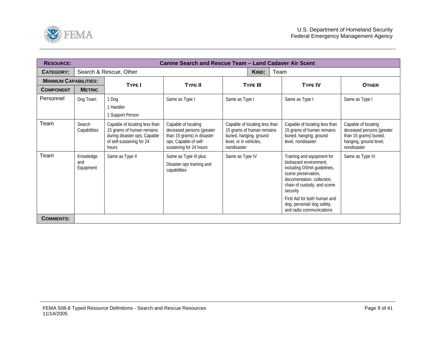<span id="page-8-0"></span>

| <b>RESOURCE:</b>             | Canine Search and Rescue Team - Land Cadaver Air Scent |                                                                                                                                  |                                                                                                                                    |                                                                                                                                |                                                                                                                                                                                                                                                                              |                                                                                                                     |  |  |  |  |
|------------------------------|--------------------------------------------------------|----------------------------------------------------------------------------------------------------------------------------------|------------------------------------------------------------------------------------------------------------------------------------|--------------------------------------------------------------------------------------------------------------------------------|------------------------------------------------------------------------------------------------------------------------------------------------------------------------------------------------------------------------------------------------------------------------------|---------------------------------------------------------------------------------------------------------------------|--|--|--|--|
| <b>CATEGORY:</b>             |                                                        | Search & Rescue, Other                                                                                                           |                                                                                                                                    | KIND:                                                                                                                          | Team                                                                                                                                                                                                                                                                         |                                                                                                                     |  |  |  |  |
| <b>MINIMUM CAPABILITIES:</b> |                                                        | <b>TYPE I</b>                                                                                                                    | <b>TYPE II</b>                                                                                                                     | <b>TYPE III</b>                                                                                                                | <b>TYPE IV</b>                                                                                                                                                                                                                                                               | <b>OTHER</b>                                                                                                        |  |  |  |  |
| <b>COMPONENT</b>             | <b>METRIC</b>                                          |                                                                                                                                  |                                                                                                                                    |                                                                                                                                |                                                                                                                                                                                                                                                                              |                                                                                                                     |  |  |  |  |
| Personnel                    | Dog Team                                               | 1 Dog<br>1 Handler<br>1 Support Person                                                                                           | Same as Type I                                                                                                                     | Same as Type I                                                                                                                 | Same as Type I                                                                                                                                                                                                                                                               | Same as Type I                                                                                                      |  |  |  |  |
| Team                         | Search<br>Capabilities                                 | Capable of locating less than<br>15 grams of human remains<br>during disaster ops; Capable<br>of self-sustaining for 24<br>hours | Capable of locating<br>deceased persons (greater<br>than 15 grams) in disaster<br>ops; Capable of self-<br>sustaining for 24 hours | Capable of locating less than<br>15 grams of human remains<br>buried, hanging, ground<br>level, or in vehicles,<br>nondisaster | Capable of locating less than<br>15 grams of human remains<br>buried, hanging, ground<br>level, nondisaster                                                                                                                                                                  | Capable of locating<br>deceased persons (greater<br>than 15 grams) buried,<br>hanging, ground level,<br>nondisaster |  |  |  |  |
| Team                         | Knowledge<br>and<br>Equipment                          | Same as Type II                                                                                                                  | Same as Type III plus:<br>Disaster ops training and<br>capabilities                                                                | Same as Type IV                                                                                                                | Training and equipment for<br>biohazard environment,<br>including OSHA guidelines,<br>scene preservation,<br>documentation, collection,<br>chain of custody, and scene<br>security<br>First Aid for both human and<br>dog, personal/ dog safety,<br>and radio communications | Same as Type IV                                                                                                     |  |  |  |  |
| <b>COMMENTS:</b>             |                                                        |                                                                                                                                  |                                                                                                                                    |                                                                                                                                |                                                                                                                                                                                                                                                                              |                                                                                                                     |  |  |  |  |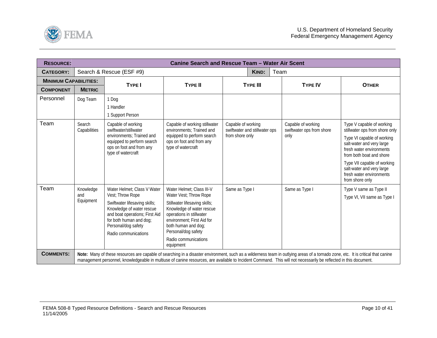<span id="page-9-0"></span>

| <b>RESOURCE:</b>             |                               |                                                                                                                                                                                                                                                                                                                                                      |                                                                                                                                                                                                                                                                | <b>Canine Search and Rescue Team - Water Air Scent</b>                 |                                                         |                                                                                                                                                                                                                                                                                           |
|------------------------------|-------------------------------|------------------------------------------------------------------------------------------------------------------------------------------------------------------------------------------------------------------------------------------------------------------------------------------------------------------------------------------------------|----------------------------------------------------------------------------------------------------------------------------------------------------------------------------------------------------------------------------------------------------------------|------------------------------------------------------------------------|---------------------------------------------------------|-------------------------------------------------------------------------------------------------------------------------------------------------------------------------------------------------------------------------------------------------------------------------------------------|
| <b>CATEGORY:</b>             |                               | Search & Rescue (ESF #9)                                                                                                                                                                                                                                                                                                                             |                                                                                                                                                                                                                                                                | <b>KIND:</b><br>Team                                                   |                                                         |                                                                                                                                                                                                                                                                                           |
| <b>MINIMUM CAPABILITIES:</b> |                               | <b>TYPE I</b>                                                                                                                                                                                                                                                                                                                                        | <b>TYPE II</b>                                                                                                                                                                                                                                                 | <b>TYPE III</b>                                                        | <b>TYPE IV</b>                                          | <b>OTHER</b>                                                                                                                                                                                                                                                                              |
| <b>COMPONENT</b>             | <b>METRIC</b>                 |                                                                                                                                                                                                                                                                                                                                                      |                                                                                                                                                                                                                                                                |                                                                        |                                                         |                                                                                                                                                                                                                                                                                           |
| Personnel                    | Dog Team                      | 1 Dog<br>1 Handler<br>1 Support Person                                                                                                                                                                                                                                                                                                               |                                                                                                                                                                                                                                                                |                                                                        |                                                         |                                                                                                                                                                                                                                                                                           |
| Team                         | Search<br>Capabilities        | Capable of working<br>swiftwater/stillwater<br>environments: Trained and<br>equipped to perform search<br>ops on foot and from any<br>type of watercraft                                                                                                                                                                                             | Capable of working stillwater<br>environments: Trained and<br>equipped to perform search<br>ops on foot and from any<br>type of watercraft                                                                                                                     | Capable of working<br>swiftwater and stillwater ops<br>from shore only | Capable of working<br>swiftwater ops from shore<br>only | Type V capable of working<br>stillwater ops from shore only<br>Type VI capable of working<br>salt-water and very large<br>fresh water environments<br>from both boat and shore<br>Type VII capable of working<br>salt-water and very large<br>fresh water environments<br>from shore only |
| Team                         | Knowledge<br>and<br>Equipment | Water Helmet; Class V Water<br>Vest; Throw Rope<br>Swiftwater lifesaving skills;<br>Knowledge of water rescue<br>and boat operations; First Aid<br>for both human and dog;<br>Personal/dog safety<br>Radio communications                                                                                                                            | Water Helmet: Class III-V<br>Water Vest; Throw Rope<br>Stillwater lifesaving skills;<br>Knowledge of water rescue<br>operations in stillwater<br>environment: First Aid for<br>both human and dog;<br>Personal/dog safety<br>Radio communications<br>equipment | Same as Type I                                                         | Same as Type I                                          | Type V same as Type II<br>Type VI, VII same as Type I                                                                                                                                                                                                                                     |
| <b>COMMENTS:</b>             |                               | Note: Many of these resources are capable of searching in a disaster environment, such as a wilderness team in outlying areas of a tornado zone, etc. It is critical that canine<br>management personnel, knowledgeable in multiuse of canine resources, are available to Incident Command. This will not necessarily be reflected in this document. |                                                                                                                                                                                                                                                                |                                                                        |                                                         |                                                                                                                                                                                                                                                                                           |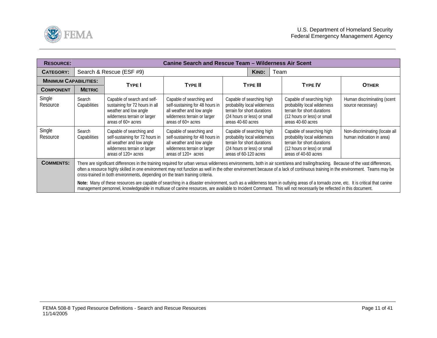<span id="page-10-0"></span>

| <b>RESOURCE:</b>             |                                                                                                                                                                                                                                                                                                                                                                                                                                                                                                                                                                                                                                                                                                                                                                                                               |                                                                                                                                                 | <b>Canine Search and Rescue Team - Wilderness Air Scent</b>                                                                                     |                                                                                                                                                  |                 |      |                                                                                                                                                 |                                                             |
|------------------------------|---------------------------------------------------------------------------------------------------------------------------------------------------------------------------------------------------------------------------------------------------------------------------------------------------------------------------------------------------------------------------------------------------------------------------------------------------------------------------------------------------------------------------------------------------------------------------------------------------------------------------------------------------------------------------------------------------------------------------------------------------------------------------------------------------------------|-------------------------------------------------------------------------------------------------------------------------------------------------|-------------------------------------------------------------------------------------------------------------------------------------------------|--------------------------------------------------------------------------------------------------------------------------------------------------|-----------------|------|-------------------------------------------------------------------------------------------------------------------------------------------------|-------------------------------------------------------------|
| <b>CATEGORY:</b>             |                                                                                                                                                                                                                                                                                                                                                                                                                                                                                                                                                                                                                                                                                                                                                                                                               | Search & Rescue (ESF #9)                                                                                                                        |                                                                                                                                                 |                                                                                                                                                  | KIND:           | Team |                                                                                                                                                 |                                                             |
| <b>MINIMUM CAPABILITIES:</b> |                                                                                                                                                                                                                                                                                                                                                                                                                                                                                                                                                                                                                                                                                                                                                                                                               | <b>TYPE I</b>                                                                                                                                   | <b>TYPE II</b>                                                                                                                                  |                                                                                                                                                  | <b>TYPE III</b> |      | <b>TYPE IV</b>                                                                                                                                  | <b>OTHER</b>                                                |
| <b>COMPONENT</b>             | <b>METRIC</b>                                                                                                                                                                                                                                                                                                                                                                                                                                                                                                                                                                                                                                                                                                                                                                                                 |                                                                                                                                                 |                                                                                                                                                 |                                                                                                                                                  |                 |      |                                                                                                                                                 |                                                             |
| Single<br>Resource           | Search<br>Capabilities                                                                                                                                                                                                                                                                                                                                                                                                                                                                                                                                                                                                                                                                                                                                                                                        | Capable of search and self-<br>sustaining for 72 hours in all<br>weather and low angle<br>wilderness terrain or larger<br>areas of 60+ acres    | Capable of searching and<br>self-sustaining for 48 hours in<br>all weather and low angle<br>wilderness terrain or larger<br>areas of 60+ acres  | Capable of searching high<br>probability local wilderness<br>terrain for short durations<br>(24 hours or less) or small<br>areas 40-60 acres     |                 |      | Capable of searching high<br>probability local wilderness<br>terrain for short durations<br>(12 hours or less) or small<br>areas 40-60 acres    | Human discriminating (scent<br>source necessary)            |
| Single<br>Resource           | Search<br>Capabilities                                                                                                                                                                                                                                                                                                                                                                                                                                                                                                                                                                                                                                                                                                                                                                                        | Capable of searching and<br>self-sustaining for 72 hours in<br>all weather and low angle<br>wilderness terrain or larger<br>areas of 120+ acres | Capable of searching and<br>self-sustaining for 48 hours in<br>all weather and low angle<br>wilderness terrain or larger<br>areas of 120+ acres | Capable of searching high<br>probability local wilderness<br>terrain for short durations<br>(24 hours or less) or small<br>areas of 60-120 acres |                 |      | Capable of searching high<br>probability local wilderness<br>terrain for short durations<br>(12 hours or less) or small<br>areas of 40-60 acres | Non-discriminating (locate all<br>human indication in area) |
| <b>COMMENTS:</b>             | There are significant differences in the training required for urban versus wilderness environments, both in air scent/area and trailing/tracking. Because of the vast differences,<br>often a resource highly skilled in one environment may not function as well in the other environment because of a lack of continuous training in the environment. Teams may be<br>cross-trained in both environments, depending on the team training criteria.<br>Note: Many of these resources are capable of searching in a disaster environment, such as a wilderness team in outlying areas of a tornado zone, etc. It is critical that canine<br>management personnel, knowledgeable in multiuse of canine resources, are available to Incident Command. This will not necessarily be reflected in this document. |                                                                                                                                                 |                                                                                                                                                 |                                                                                                                                                  |                 |      |                                                                                                                                                 |                                                             |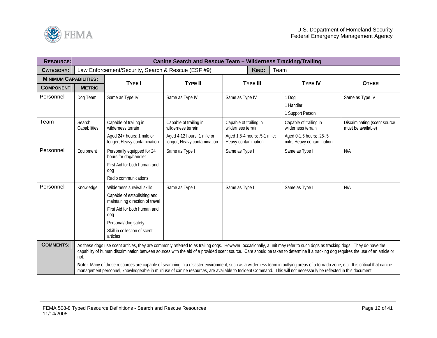<span id="page-11-0"></span>

| <b>RESOURCE:</b>             |                        |                                                                                                                                                                                                                                                                                                                                                                |                                                           | Canine Search and Rescue Team - Wilderness Tracking/Trailing |                                                       |                                                    |
|------------------------------|------------------------|----------------------------------------------------------------------------------------------------------------------------------------------------------------------------------------------------------------------------------------------------------------------------------------------------------------------------------------------------------------|-----------------------------------------------------------|--------------------------------------------------------------|-------------------------------------------------------|----------------------------------------------------|
| <b>CATEGORY:</b>             |                        | Law Enforcement/Security, Search & Rescue (ESF #9)                                                                                                                                                                                                                                                                                                             |                                                           | Team<br>KIND:                                                |                                                       |                                                    |
| <b>MINIMUM CAPABILITIES:</b> |                        | <b>TYPE I</b>                                                                                                                                                                                                                                                                                                                                                  | <b>TYPE II</b>                                            | <b>TYPE III</b>                                              | <b>TYPE IV</b>                                        | <b>OTHER</b>                                       |
| <b>COMPONENT</b>             | <b>METRIC</b>          |                                                                                                                                                                                                                                                                                                                                                                |                                                           |                                                              |                                                       |                                                    |
| Personnel                    | Dog Team               | Same as Type IV                                                                                                                                                                                                                                                                                                                                                | Same as Type IV                                           | Same as Type IV                                              | 1 Dog<br>1 Handler<br>1 Support Person                | Same as Type IV                                    |
| Team                         | Search<br>Capabilities | Capable of trailing in<br>wilderness terrain                                                                                                                                                                                                                                                                                                                   | Capable of trailing in<br>wilderness terrain              | Capable of trailing in<br>wilderness terrain                 | Capable of trailing in<br>wilderness terrain          | Discriminating (scent source<br>must be available) |
|                              |                        | Aged 24+ hours; 1 mile or<br>longer; Heavy contamination                                                                                                                                                                                                                                                                                                       | Aged 4-12 hours; 1 mile or<br>longer; Heavy contamination | Aged 1.5-4 hours; .5-1 mile;<br>Heavy contamination          | Aged 0-1.5 hours; .25-.5<br>mile; Heavy contamination |                                                    |
| Personnel                    | Equipment              | Personally equipped for 24<br>hours for dog/handler                                                                                                                                                                                                                                                                                                            | Same as Type I                                            | Same as Type I                                               | Same as Type I                                        | N/A                                                |
|                              |                        | First Aid for both human and<br>dog                                                                                                                                                                                                                                                                                                                            |                                                           |                                                              |                                                       |                                                    |
|                              |                        | Radio communications                                                                                                                                                                                                                                                                                                                                           |                                                           |                                                              |                                                       |                                                    |
| Personnel                    | Knowledge              | Wilderness survival skills                                                                                                                                                                                                                                                                                                                                     | Same as Type I                                            | Same as Type I                                               | Same as Type I                                        | N/A                                                |
|                              |                        | Capable of establishing and<br>maintaining direction of travel                                                                                                                                                                                                                                                                                                 |                                                           |                                                              |                                                       |                                                    |
|                              |                        | First Aid for both human and<br>dog                                                                                                                                                                                                                                                                                                                            |                                                           |                                                              |                                                       |                                                    |
|                              |                        | Personal/ dog safety                                                                                                                                                                                                                                                                                                                                           |                                                           |                                                              |                                                       |                                                    |
|                              |                        | Skill in collection of scent<br>articles                                                                                                                                                                                                                                                                                                                       |                                                           |                                                              |                                                       |                                                    |
| <b>COMMENTS:</b>             | not.                   | As these dogs use scent articles, they are commonly referred to as trailing dogs. However, occasionally, a unit may refer to such dogs as tracking dogs. They do have the<br>capability of human discrimination between sources with the aid of a provided scent source. Care should be taken to determine if a tracking dog requires the use of an article or |                                                           |                                                              |                                                       |                                                    |
|                              |                        | Note: Many of these resources are capable of searching in a disaster environment, such as a wilderness team in outlying areas of a tornado zone, etc. It is critical that canine<br>management personnel, knowledgeable in multiuse of canine resources, are available to Incident Command. This will not necessarily be reflected in this document.           |                                                           |                                                              |                                                       |                                                    |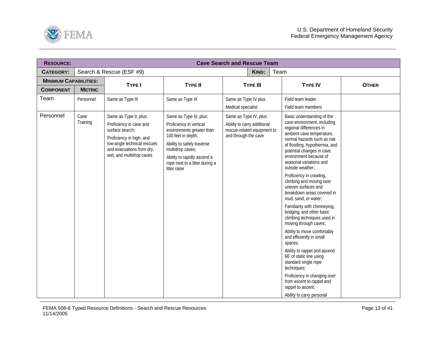<span id="page-12-0"></span>

| <b>RESOURCE:</b>             |                  |                                                                                                                                                                                          |                                                                                                                                                                                                                                          | <b>Cave Search and Rescue Team</b>                                                                           |                 |      |                                                                                                                                                                                                                                                                                                                                                                                                                                                                                                                                                                                                                                                                                                                                                                                                                                           |              |
|------------------------------|------------------|------------------------------------------------------------------------------------------------------------------------------------------------------------------------------------------|------------------------------------------------------------------------------------------------------------------------------------------------------------------------------------------------------------------------------------------|--------------------------------------------------------------------------------------------------------------|-----------------|------|-------------------------------------------------------------------------------------------------------------------------------------------------------------------------------------------------------------------------------------------------------------------------------------------------------------------------------------------------------------------------------------------------------------------------------------------------------------------------------------------------------------------------------------------------------------------------------------------------------------------------------------------------------------------------------------------------------------------------------------------------------------------------------------------------------------------------------------------|--------------|
| <b>CATEGORY:</b>             |                  | Search & Rescue (ESF #9)                                                                                                                                                                 |                                                                                                                                                                                                                                          |                                                                                                              | KIND:           | Team |                                                                                                                                                                                                                                                                                                                                                                                                                                                                                                                                                                                                                                                                                                                                                                                                                                           |              |
| <b>MINIMUM CAPABILITIES:</b> |                  | <b>TYPE I</b>                                                                                                                                                                            | <b>TYPE II</b>                                                                                                                                                                                                                           |                                                                                                              | <b>TYPE III</b> |      | <b>TYPE IV</b>                                                                                                                                                                                                                                                                                                                                                                                                                                                                                                                                                                                                                                                                                                                                                                                                                            | <b>OTHER</b> |
| <b>COMPONENT</b>             | <b>METRIC</b>    |                                                                                                                                                                                          |                                                                                                                                                                                                                                          |                                                                                                              |                 |      |                                                                                                                                                                                                                                                                                                                                                                                                                                                                                                                                                                                                                                                                                                                                                                                                                                           |              |
| Team                         | Personnel        | Same as Type III                                                                                                                                                                         | Same as Type III                                                                                                                                                                                                                         | Same as Type IV plus<br>Medical specialist                                                                   |                 |      | Field team leader<br>Field team members                                                                                                                                                                                                                                                                                                                                                                                                                                                                                                                                                                                                                                                                                                                                                                                                   |              |
| Personnel                    | Cave<br>Training | Same as Type II, plus:<br>Proficiency in cave and<br>surface search;<br>Proficiency in high- and<br>low-angle technical rescues<br>and evacuations from dry,<br>wet, and multidrop caves | Same as Type III, plus:<br>Proficiency in vertical<br>environments greater than<br>100 feet in depth;<br>Ability to safely traverse<br>multidrop caves;<br>Ability to rapidly ascend a<br>rope next to a litter during a<br>litter raise | Same as Type IV, plus:<br>Ability to carry additional<br>rescue-related equipment to<br>and through the cave |                 |      | Basic understanding of the<br>cave environment, including<br>regional differences in<br>ambient cave temperature,<br>normal hazards such as risk<br>of flooding, hypothermia, and<br>potential changes in cave<br>environment because of<br>seasonal variations and<br>outside weather:<br>Proficiency in crawling,<br>climbing and moving over<br>uneven surfaces and<br>breakdown areas covered in<br>mud, sand, or water;<br>Familiarity with chimneying,<br>bridging, and other basic<br>climbing techniques used in<br>moving through caves;<br>Ability to move comfortably<br>and efficiently in small<br>spaces;<br>Ability to rappel and ascend<br>66' of static line using<br>standard single rope<br>techniques;<br>Proficiency in changing over<br>from ascent to rappel and<br>rappel to ascent;<br>Ability to carry personal |              |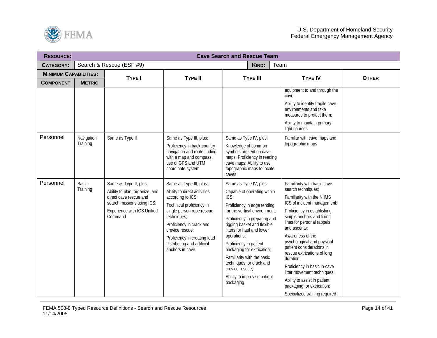

| <b>RESOURCE:</b>             | <b>Cave Search and Rescue Team</b> |                                                                                                                                                            |                                                                                                                                                                                                                                                                                       |                                                                                                                                                                                                                                                                                                                                                                                                                             |                                                                                                                                                                                                                                                                                                                                                                                                                                                                                                                   |              |  |  |  |  |
|------------------------------|------------------------------------|------------------------------------------------------------------------------------------------------------------------------------------------------------|---------------------------------------------------------------------------------------------------------------------------------------------------------------------------------------------------------------------------------------------------------------------------------------|-----------------------------------------------------------------------------------------------------------------------------------------------------------------------------------------------------------------------------------------------------------------------------------------------------------------------------------------------------------------------------------------------------------------------------|-------------------------------------------------------------------------------------------------------------------------------------------------------------------------------------------------------------------------------------------------------------------------------------------------------------------------------------------------------------------------------------------------------------------------------------------------------------------------------------------------------------------|--------------|--|--|--|--|
| <b>CATEGORY:</b>             |                                    | Search & Rescue (ESF #9)                                                                                                                                   |                                                                                                                                                                                                                                                                                       | KIND:<br>Team                                                                                                                                                                                                                                                                                                                                                                                                               |                                                                                                                                                                                                                                                                                                                                                                                                                                                                                                                   |              |  |  |  |  |
| <b>MINIMUM CAPABILITIES:</b> |                                    | <b>TYPE I</b>                                                                                                                                              | <b>TYPE II</b>                                                                                                                                                                                                                                                                        | <b>TYPE III</b>                                                                                                                                                                                                                                                                                                                                                                                                             | <b>TYPE IV</b>                                                                                                                                                                                                                                                                                                                                                                                                                                                                                                    | <b>OTHER</b> |  |  |  |  |
| <b>COMPONENT</b>             | <b>METRIC</b>                      |                                                                                                                                                            |                                                                                                                                                                                                                                                                                       |                                                                                                                                                                                                                                                                                                                                                                                                                             |                                                                                                                                                                                                                                                                                                                                                                                                                                                                                                                   |              |  |  |  |  |
|                              |                                    |                                                                                                                                                            |                                                                                                                                                                                                                                                                                       |                                                                                                                                                                                                                                                                                                                                                                                                                             | equipment to and through the<br>cave;<br>Ability to identify fragile cave<br>environments and take<br>measures to protect them;<br>Ability to maintain primary<br>light sources                                                                                                                                                                                                                                                                                                                                   |              |  |  |  |  |
| Personnel                    | Navigation<br>Training             | Same as Type II                                                                                                                                            | Same as Type III, plus:<br>Proficiency in back-country<br>navigation and route finding<br>with a map and compass,<br>use of GPS and UTM<br>coordinate system                                                                                                                          | Same as Type IV, plus:<br>Knowledge of common<br>symbols present on cave<br>maps; Proficiency in reading<br>cave maps; Ability to use<br>topographic maps to locate<br>caves                                                                                                                                                                                                                                                | Familiar with cave maps and<br>topographic maps                                                                                                                                                                                                                                                                                                                                                                                                                                                                   |              |  |  |  |  |
| Personnel                    | Basic<br>Training                  | Same as Type II, plus;<br>Ability to plan, organize, and<br>direct cave rescue and<br>search missions using ICS;<br>Experience with ICS Unified<br>Command | Same as Type III, plus:<br>Ability to direct activities<br>according to ICS;<br>Technical proficiency in<br>single person rope rescue<br>techniques;<br>Proficiency in crack and<br>crevice rescue:<br>Proficiency in creating load<br>distributing and artificial<br>anchors in-cave | Same as Type IV, plus:<br>Capable of operating within<br>ICS:<br>Proficiency in edge tending<br>for the vertical environment;<br>Proficiency in preparing and<br>rigging basket and flexible<br>litters for haul and lower<br>operations;<br>Proficiency in patient<br>packaging for extrication;<br>Familiarity with the basic<br>techniques for crack and<br>crevice rescue:<br>Ability to improvise patient<br>packaging | Familiarity with basic cave<br>search techniques;<br>Familiarity with the NIIMS<br>ICS of incident management;<br>Proficiency in establishing<br>simple anchors and fixing<br>lines for personal rappels<br>and ascents;<br>Awareness of the<br>psychological and physical<br>patient considerations in<br>rescue extrications of long<br>duration;<br>Proficiency in basic in-cave<br>litter movement techniques;<br>Ability to assist in patient<br>packaging for extrication;<br>Specialized training required |              |  |  |  |  |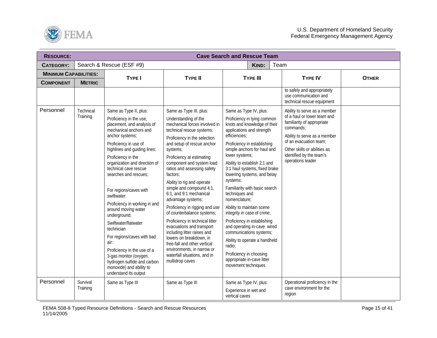

| <b>RESOURCE:</b>             |               |                                                                                                                                                                                                                                                                                                                                                                                                                                                                   |                                                                                                                                                                                                                                                                                                                                                                                                                                                                                                                                                                                                        | <b>Cave Search and Rescue Team</b>                                                                                                                                                                                                                                                                                                                                                                                                                                                                                                                              |                                                                                                                                                                                                                   |              |
|------------------------------|---------------|-------------------------------------------------------------------------------------------------------------------------------------------------------------------------------------------------------------------------------------------------------------------------------------------------------------------------------------------------------------------------------------------------------------------------------------------------------------------|--------------------------------------------------------------------------------------------------------------------------------------------------------------------------------------------------------------------------------------------------------------------------------------------------------------------------------------------------------------------------------------------------------------------------------------------------------------------------------------------------------------------------------------------------------------------------------------------------------|-----------------------------------------------------------------------------------------------------------------------------------------------------------------------------------------------------------------------------------------------------------------------------------------------------------------------------------------------------------------------------------------------------------------------------------------------------------------------------------------------------------------------------------------------------------------|-------------------------------------------------------------------------------------------------------------------------------------------------------------------------------------------------------------------|--------------|
| <b>CATEGORY:</b>             |               | Search & Rescue (ESF #9)                                                                                                                                                                                                                                                                                                                                                                                                                                          |                                                                                                                                                                                                                                                                                                                                                                                                                                                                                                                                                                                                        | KIND:<br>Team                                                                                                                                                                                                                                                                                                                                                                                                                                                                                                                                                   |                                                                                                                                                                                                                   |              |
| <b>MINIMUM CAPABILITIES:</b> |               | <b>TYPE I</b>                                                                                                                                                                                                                                                                                                                                                                                                                                                     | <b>TYPE II</b>                                                                                                                                                                                                                                                                                                                                                                                                                                                                                                                                                                                         | <b>TYPE III</b>                                                                                                                                                                                                                                                                                                                                                                                                                                                                                                                                                 | <b>TYPE IV</b>                                                                                                                                                                                                    | <b>OTHER</b> |
| <b>COMPONENT</b>             | <b>METRIC</b> |                                                                                                                                                                                                                                                                                                                                                                                                                                                                   |                                                                                                                                                                                                                                                                                                                                                                                                                                                                                                                                                                                                        |                                                                                                                                                                                                                                                                                                                                                                                                                                                                                                                                                                 |                                                                                                                                                                                                                   |              |
|                              |               |                                                                                                                                                                                                                                                                                                                                                                                                                                                                   |                                                                                                                                                                                                                                                                                                                                                                                                                                                                                                                                                                                                        |                                                                                                                                                                                                                                                                                                                                                                                                                                                                                                                                                                 | to safely and appropriately<br>use communication and<br>technical rescue equipment                                                                                                                                |              |
| Personnel                    | Technical     | Same as Type II, plus:                                                                                                                                                                                                                                                                                                                                                                                                                                            | Same as Type III, plus:                                                                                                                                                                                                                                                                                                                                                                                                                                                                                                                                                                                | Same as Type IV, plus:                                                                                                                                                                                                                                                                                                                                                                                                                                                                                                                                          | Ability to serve as a member                                                                                                                                                                                      |              |
|                              | Training      | Proficiency in the use,<br>placement, and analysis of<br>mechanical anchors and<br>anchor systems;<br>Proficiency in use of<br>highlines and guiding lines;<br>Proficiency in the<br>organization and direction of<br>technical cave rescue<br>searches and rescues;<br>For regions/caves with<br>swiftwater:<br>Proficiency in working in and<br>around moving water<br>underground;<br>Swiftwater/flatwater<br>technician<br>For regions/caves with bad<br>air: | Understanding of the<br>mechanical forces involved in<br>technical rescue systems;<br>Proficiency in the selection<br>and setup of rescue anchor<br>systems;<br>Proficiency at estimating<br>component and system load<br>ratios and assessing safety<br>factors;<br>Ability to rig and operate<br>simple and compound 4:1,<br>6:1, and 9:1 mechanical<br>advantage systems;<br>Proficiency in rigging and use<br>of counterbalance systems;<br>Proficiency in technical litter<br>evacuations and transport<br>including litter raises and<br>lowers on breakdown, in<br>free-fall and other vertical | Proficiency in tying common<br>knots and knowledge of their<br>applications and strength<br>efficiencies;<br>Proficiency in establishing<br>simple anchors for haul and<br>lower systems;<br>Ability to establish 2:1 and<br>3:1 haul systems, fixed brake<br>lowering systems, and belay<br>systems;<br>Familiarity with basic search<br>techniques and<br>nomenclature;<br>Ability to maintain scene<br>integrity in case of crime;<br>Proficiency in establishing<br>and operating in-cave wired<br>communications systems;<br>Ability to operate a handheld | of a haul or lower team and<br>familiarity of appropriate<br>commands;<br>Ability to serve as a member<br>of an evacuation team;<br>Other skills or abilities as<br>identified by the team's<br>operations leader |              |
|                              |               | Proficiency in the use of a<br>3-gas monitor (oxygen,<br>hydrogen sulfide and carbon<br>monoxide) and ability to<br>understand its output                                                                                                                                                                                                                                                                                                                         | environments, in narrow or<br>waterfall situations, and in<br>multidrop caves                                                                                                                                                                                                                                                                                                                                                                                                                                                                                                                          | radio;<br>Proficiency in choosing<br>appropriate in-cave litter<br>movement techniques                                                                                                                                                                                                                                                                                                                                                                                                                                                                          |                                                                                                                                                                                                                   |              |
| Personnel                    | Survival      | Same as Type III                                                                                                                                                                                                                                                                                                                                                                                                                                                  | Same as Type III                                                                                                                                                                                                                                                                                                                                                                                                                                                                                                                                                                                       | Same as Type IV, plus:                                                                                                                                                                                                                                                                                                                                                                                                                                                                                                                                          | Operational proficiency in the                                                                                                                                                                                    |              |
|                              | Training      |                                                                                                                                                                                                                                                                                                                                                                                                                                                                   |                                                                                                                                                                                                                                                                                                                                                                                                                                                                                                                                                                                                        | Experience in wet and<br>vertical caves                                                                                                                                                                                                                                                                                                                                                                                                                                                                                                                         | cave environment for the<br>region                                                                                                                                                                                |              |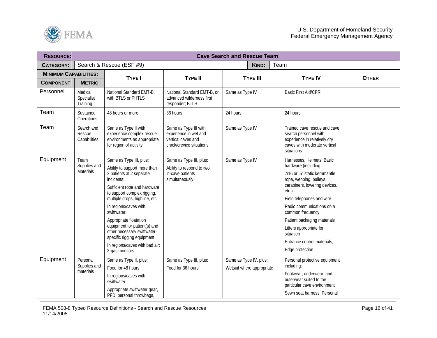

| <b>RESOURCE:</b>             | <b>Cave Search and Rescue Team</b>    |                                                                                                                                                                                                                                                                                                                                                                                                                       |                                                                                                  |                                                     |                 |      |                                                                                                                                                                                                                                                                                                                                                                |              |
|------------------------------|---------------------------------------|-----------------------------------------------------------------------------------------------------------------------------------------------------------------------------------------------------------------------------------------------------------------------------------------------------------------------------------------------------------------------------------------------------------------------|--------------------------------------------------------------------------------------------------|-----------------------------------------------------|-----------------|------|----------------------------------------------------------------------------------------------------------------------------------------------------------------------------------------------------------------------------------------------------------------------------------------------------------------------------------------------------------------|--------------|
| <b>CATEGORY:</b>             |                                       | Search & Rescue (ESF #9)                                                                                                                                                                                                                                                                                                                                                                                              |                                                                                                  |                                                     | KIND:           | Team |                                                                                                                                                                                                                                                                                                                                                                |              |
| <b>MINIMUM CAPABILITIES:</b> |                                       | TYPE I                                                                                                                                                                                                                                                                                                                                                                                                                | <b>TYPE II</b>                                                                                   |                                                     |                 |      | <b>TYPE IV</b>                                                                                                                                                                                                                                                                                                                                                 | <b>OTHER</b> |
| <b>COMPONENT</b>             | <b>METRIC</b>                         |                                                                                                                                                                                                                                                                                                                                                                                                                       |                                                                                                  |                                                     | <b>TYPE III</b> |      |                                                                                                                                                                                                                                                                                                                                                                |              |
| Personnel                    | Medical<br>Specialist<br>Training     | National Standard EMT-B,<br>with BTLS or PHTLS                                                                                                                                                                                                                                                                                                                                                                        | National Standard EMT-B, or<br>advanced wilderness first<br>responder; BTLS                      | Same as Type IV                                     |                 |      | <b>Basic First Aid/CPR</b>                                                                                                                                                                                                                                                                                                                                     |              |
| Team                         | Sustained<br>Operations               | 48 hours or more                                                                                                                                                                                                                                                                                                                                                                                                      | 36 hours                                                                                         | 24 hours                                            |                 |      | 24 hours                                                                                                                                                                                                                                                                                                                                                       |              |
| Team                         | Search and<br>Rescue<br>Capabilities  | Same as Type II with<br>experience complex rescue<br>environments as appropriate<br>for region of activity                                                                                                                                                                                                                                                                                                            | Same as Type III with<br>experience in wet and<br>vertical caves and<br>crack/crevice situations | Same as Type IV                                     |                 |      | Trained cave rescue and cave<br>search personnel with<br>experience in relatively dry<br>caves with moderate vertical<br>situations                                                                                                                                                                                                                            |              |
| Equipment                    | Team<br>Supplies and<br>Materials     | Same as Type III, plus:<br>Ability to support more than<br>2 patients at 2 separate<br>incidents:<br>Sufficient rope and hardware<br>to support complex rigging,<br>multiple drops, highline, etc.<br>In regions/caves with<br>swiftwater:<br>Appropriate floatation<br>equipment for patient(s) and<br>other necessary swiftwater-<br>specific rigging equipment<br>In regions/caves with bad air:<br>3-gas monitors | Same as Type III, plus:<br>Ability to respond to two<br>in-cave patients<br>simultaneously       | Same as Type IV                                     |                 |      | Harnesses, Helmets; Basic<br>hardware (including:<br>7/16 or .5" static kernmantle<br>rope, webbing, pulleys,<br>carabiners, lowering devices,<br>etc.)<br>Field telephones and wire<br>Radio communications on a<br>common frequency<br>Patient packaging materials<br>Litters appropriate for<br>situation<br>Entrance control materials:<br>Edge protection |              |
| Equipment                    | Personal<br>Supplies and<br>materials | Same as Type II, plus:<br>Food for 48 hours<br>In regions/caves with<br>swiftwater:<br>Appropriate swiftwater gear,<br>PFD, personal throwbags,                                                                                                                                                                                                                                                                       | Same as Type III, plus:<br>Food for 36 hours                                                     | Same as Type IV, plus:<br>Wetsuit where appropriate |                 |      | Personal protective equipment<br>including:<br>Footwear, underwear, and<br>outerwear suited to the<br>particular cave environment<br>Sewn seat harness; Personal                                                                                                                                                                                               |              |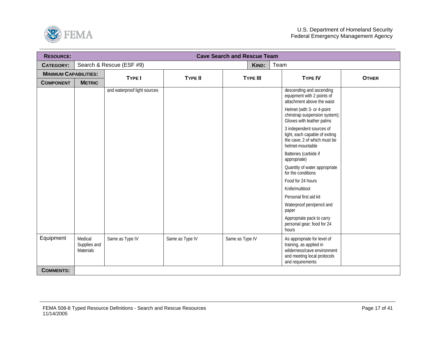

| <b>RESOURCE:</b>             | <b>Cave Search and Rescue Team</b>          |                              |                 |                 |                                                                                                                                          |              |  |  |  |  |
|------------------------------|---------------------------------------------|------------------------------|-----------------|-----------------|------------------------------------------------------------------------------------------------------------------------------------------|--------------|--|--|--|--|
| <b>CATEGORY:</b>             |                                             | Search & Rescue (ESF #9)     |                 | KIND:           | Team                                                                                                                                     |              |  |  |  |  |
| <b>MINIMUM CAPABILITIES:</b> |                                             | <b>TYPE I</b>                | <b>TYPE II</b>  | <b>TYPE III</b> | <b>TYPE IV</b>                                                                                                                           | <b>OTHER</b> |  |  |  |  |
| <b>COMPONENT</b>             | <b>METRIC</b>                               |                              |                 |                 |                                                                                                                                          |              |  |  |  |  |
|                              |                                             | and waterproof light sources |                 |                 | descending and ascending<br>equipment with 2 points of<br>attachment above the waist                                                     |              |  |  |  |  |
|                              |                                             |                              |                 |                 | Helmet (with 3- or 4-point<br>chinstrap suspension system);<br>Gloves with leather palms                                                 |              |  |  |  |  |
|                              |                                             |                              |                 |                 | 3 independent sources of<br>light, each capable of exiting<br>the cave; 2 of which must be<br>helmet-mountable                           |              |  |  |  |  |
|                              |                                             |                              |                 |                 | Batteries (carbide if<br>appropriate)                                                                                                    |              |  |  |  |  |
|                              |                                             |                              |                 |                 | Quantity of water appropriate<br>for the conditions                                                                                      |              |  |  |  |  |
|                              |                                             |                              |                 |                 | Food for 24 hours                                                                                                                        |              |  |  |  |  |
|                              |                                             |                              |                 |                 | Knife/multitool                                                                                                                          |              |  |  |  |  |
|                              |                                             |                              |                 |                 | Personal first aid kit                                                                                                                   |              |  |  |  |  |
|                              |                                             |                              |                 |                 | Waterproof pen/pencil and<br>paper                                                                                                       |              |  |  |  |  |
|                              |                                             |                              |                 |                 | Appropriate pack to carry<br>personal gear; food for 24<br>hours                                                                         |              |  |  |  |  |
| Equipment                    | Medical<br>Supplies and<br><b>Materials</b> | Same as Type IV              | Same as Type IV | Same as Type IV | As appropriate for level of<br>training, as applied in<br>wilderness/cave environment<br>and meeting local protocols<br>and requirements |              |  |  |  |  |
| <b>COMMENTS:</b>             |                                             |                              |                 |                 |                                                                                                                                          |              |  |  |  |  |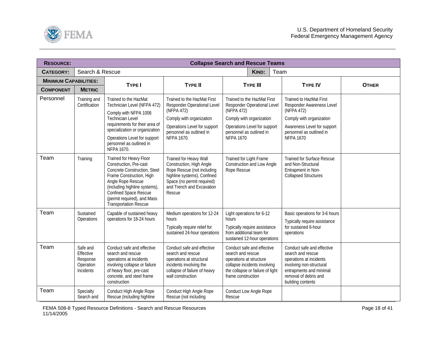<span id="page-17-0"></span>

| <b>RESOURCE:</b>             |                                                             |                                                                                                                                                                                                                                                        |                                                                                                                                                                                      | <b>Collapse Search and Rescue Teams</b>                                                                                                                                              |                                                                                                                                                                                      |              |
|------------------------------|-------------------------------------------------------------|--------------------------------------------------------------------------------------------------------------------------------------------------------------------------------------------------------------------------------------------------------|--------------------------------------------------------------------------------------------------------------------------------------------------------------------------------------|--------------------------------------------------------------------------------------------------------------------------------------------------------------------------------------|--------------------------------------------------------------------------------------------------------------------------------------------------------------------------------------|--------------|
| <b>CATEGORY:</b>             | Search & Rescue                                             |                                                                                                                                                                                                                                                        |                                                                                                                                                                                      | <b>KIND:</b><br>Team                                                                                                                                                                 |                                                                                                                                                                                      |              |
| <b>MINIMUM CAPABILITIES:</b> |                                                             | TYPE I                                                                                                                                                                                                                                                 | <b>TYPE II</b>                                                                                                                                                                       | <b>TYPE III</b>                                                                                                                                                                      | <b>TYPE IV</b>                                                                                                                                                                       | <b>OTHER</b> |
| <b>COMPONENT</b>             | <b>METRIC</b>                                               |                                                                                                                                                                                                                                                        |                                                                                                                                                                                      |                                                                                                                                                                                      |                                                                                                                                                                                      |              |
| Personnel                    | Training and<br>Certification                               | Trained to the HazMat<br>Technician Level (NFPA 472)<br>Comply with NFPA 1006<br><b>Technician Level</b><br>requirements for their area of<br>specialization or organization<br>Operations Level for support<br>personnel as outlined in<br>NFPA 1670. | Trained to the HazMat First<br>Responder Operational Level<br>(NFPA 472)<br>Comply with organization<br>Operations Level for support<br>personnel as outlined in<br>NFPA 1670.       | Trained to the HazMat First<br>Responder Operational Level<br>(NFPA 472)<br>Comply with organization<br>Operations Level for support<br>personnel as outlined in<br><b>NFPA 1670</b> | <b>Trained to HazMat First</b><br>Responder Awareness Level<br>(NFPA 472)<br>Comply with organization<br>Awareness Level for support<br>personnel as outlined in<br><b>NFPA 1670</b> |              |
| Team                         | Training                                                    | Trained for Heavy Floor<br>Construction, Pre-cast<br>Concrete Construction, Steel<br>Frame Construction, High<br>Angle Rope Rescue<br>(including highline systems),<br>Confined Space Rescue<br>(permit required), and Mass<br>Transportation Rescue   | Trained for Heavy Wall<br>Construction, High Angle<br>Rope Rescue (not including<br>highline systems), Confined<br>Space (no permit required)<br>and Trench and Excavation<br>Rescue | Trained for Light Frame<br>Construction and Low Angle<br>Rope Rescue                                                                                                                 | <b>Trained for Surface Rescue</b><br>and Non-Structural<br>Entrapment in Non-<br><b>Collapsed Structures</b>                                                                         |              |
| Team                         | Sustained<br>Operations                                     | Capable of sustained heavy<br>operations for 18-24 hours                                                                                                                                                                                               | Medium operations for 12-24<br>hours<br>Typically require relief for<br>sustained 24-hour operations                                                                                 | Light operations for 6-12<br>hours<br>Typically require assistance<br>from additional team for<br>sustained 12-hour operations                                                       | Basic operations for 3-6 hours<br>Typically require assistance<br>for sustained 6-hour<br>operations                                                                                 |              |
| Team                         | Safe and<br>Effective<br>Response<br>Operation<br>Incidents | Conduct safe and effective<br>search and rescue<br>operations at incidents<br>involving collapse or failure<br>of heavy floor, pre-cast<br>concrete, and steel frame<br>construction                                                                   | Conduct safe and effective<br>search and rescue<br>operations at structural<br>incidents involving the<br>collapse of failure of heavy<br>wall construction                          | Conduct safe and effective<br>search and rescue<br>operations at structure<br>collapse incidents involving<br>the collapse or failure of light<br>frame construction                 | Conduct safe and effective<br>search and rescue<br>operations at incidents<br>involving non-structural<br>entrapments and minimal<br>removal of debris and<br>building contents      |              |
| Team                         | Specialty<br>Search and                                     | Conduct High Angle Rope<br>Rescue (including highline                                                                                                                                                                                                  | Conduct High Angle Rope<br>Rescue (not including                                                                                                                                     | <b>Conduct Low Angle Rope</b><br>Rescue                                                                                                                                              |                                                                                                                                                                                      |              |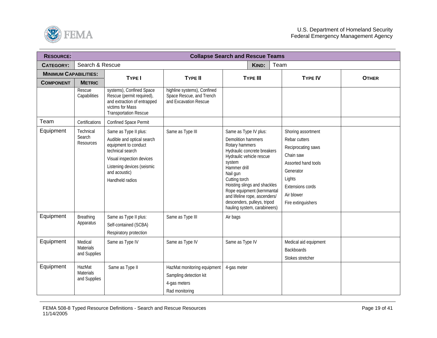

| <b>RESOURCE:</b>             |                                      |                                                                                                                                                                                                |                                                                                         | <b>Collapse Search and Rescue Teams</b>                                                                                                                                                                                                                                                                                                       |                                                                                                                                                                                     |              |
|------------------------------|--------------------------------------|------------------------------------------------------------------------------------------------------------------------------------------------------------------------------------------------|-----------------------------------------------------------------------------------------|-----------------------------------------------------------------------------------------------------------------------------------------------------------------------------------------------------------------------------------------------------------------------------------------------------------------------------------------------|-------------------------------------------------------------------------------------------------------------------------------------------------------------------------------------|--------------|
| <b>CATEGORY:</b>             | Search & Rescue                      |                                                                                                                                                                                                |                                                                                         | <b>KIND:</b>                                                                                                                                                                                                                                                                                                                                  | Team                                                                                                                                                                                |              |
| <b>MINIMUM CAPABILITIES:</b> |                                      | <b>TYPE I</b>                                                                                                                                                                                  | <b>TYPE II</b>                                                                          | <b>TYPE III</b>                                                                                                                                                                                                                                                                                                                               | <b>TYPE IV</b>                                                                                                                                                                      |              |
| <b>COMPONENT</b>             | <b>METRIC</b>                        |                                                                                                                                                                                                |                                                                                         |                                                                                                                                                                                                                                                                                                                                               |                                                                                                                                                                                     | <b>OTHER</b> |
|                              | Rescue<br>Capabilities               | systems), Confined Space<br>Rescue (permit required),<br>and extraction of entrapped<br>victims for Mass<br><b>Transportation Rescue</b>                                                       | highline systems), Confined<br>Space Rescue, and Trench<br>and Excavation Rescue        |                                                                                                                                                                                                                                                                                                                                               |                                                                                                                                                                                     |              |
| Team                         | Certifications                       | Confined Space Permit                                                                                                                                                                          |                                                                                         |                                                                                                                                                                                                                                                                                                                                               |                                                                                                                                                                                     |              |
| Equipment                    | Technical<br>Search<br>Resources     | Same as Type II plus:<br>Audible and optical search<br>equipment to conduct<br>technical search<br>Visual inspection devices<br>Listening devices (seismic<br>and acoustic)<br>Handheld radios | Same as Type III                                                                        | Same as Type IV plus:<br>Demolition hammers<br>Rotary hammers<br>Hydraulic concrete breakers<br>Hydraulic vehicle rescue<br>system<br>Hammer drill<br>Nail gun<br>Cutting torch<br>Hoisting slings and shackles<br>Rope equipment (kernmantal<br>and lifeline rope, ascenders/<br>descenders, pulleys, tripod<br>hauling system, carabineers) | Shoring assortment<br>Rebar cutters<br>Reciprocating saws<br>Chain saw<br>Assorted hand tools<br>Generator<br>Lights<br><b>Extensions cords</b><br>Air blower<br>Fire extinguishers |              |
| Equipment                    | Breathing<br>Apparatus               | Same as Type II plus:<br>Self-contained (SCBA)<br>Respiratory protection                                                                                                                       | Same as Type III                                                                        | Air bags                                                                                                                                                                                                                                                                                                                                      |                                                                                                                                                                                     |              |
| Equipment                    | Medical<br>Materials<br>and Supplies | Same as Type IV                                                                                                                                                                                | Same as Type IV                                                                         | Same as Type IV                                                                                                                                                                                                                                                                                                                               | Medical aid equipment<br><b>Backboards</b><br>Stokes stretcher                                                                                                                      |              |
| Equipment                    | HazMat<br>Materials<br>and Supplies  | Same as Type II                                                                                                                                                                                | HazMat monitoring equipment<br>Sampling detection kit<br>4-gas meters<br>Rad monitoring | 4-gas meter                                                                                                                                                                                                                                                                                                                                   |                                                                                                                                                                                     |              |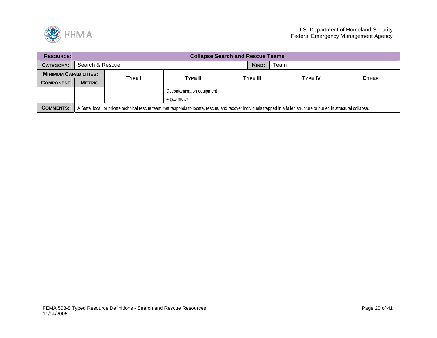

| <b>RESOURCE:</b>             |                          | <b>Collapse Search and Rescue Teams</b> |                                                                                                                                                                           |  |          |  |                |              |  |  |  |
|------------------------------|--------------------------|-----------------------------------------|---------------------------------------------------------------------------------------------------------------------------------------------------------------------------|--|----------|--|----------------|--------------|--|--|--|
| CATEGORY:                    | Search & Rescue          | KIND:<br>Team                           |                                                                                                                                                                           |  |          |  |                |              |  |  |  |
| <b>MINIMUM CAPABILITIES:</b> | <b>TYPE II</b><br>TYPE I |                                         |                                                                                                                                                                           |  |          |  | <b>TYPE IV</b> | <b>OTHER</b> |  |  |  |
| <b>COMPONENT</b>             | <b>METRIC</b>            |                                         |                                                                                                                                                                           |  | TYPE III |  |                |              |  |  |  |
|                              |                          |                                         | Decontamination equipment                                                                                                                                                 |  |          |  |                |              |  |  |  |
|                              |                          |                                         | 4-gas meter                                                                                                                                                               |  |          |  |                |              |  |  |  |
| <b>COMMENTS:</b>             |                          |                                         | A State, local, or private technical rescue team that responds to locate, rescue, and recover individuals trapped in a fallen structure or buried in structural collapse. |  |          |  |                |              |  |  |  |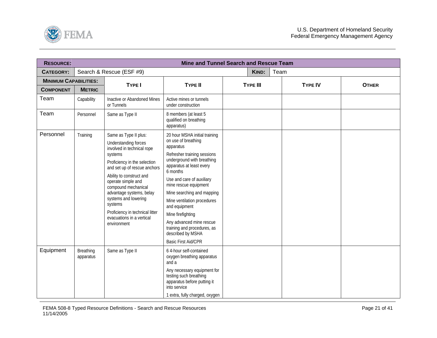<span id="page-20-0"></span>

| <b>RESOURCE:</b>             |                        |                                                                                                                                                                                                                                                                                                                                                                               | Mine and Tunnel Search and Rescue Team                                                                                                                                                                                                                                                                                                                                                                                                        |                 |      |                |              |
|------------------------------|------------------------|-------------------------------------------------------------------------------------------------------------------------------------------------------------------------------------------------------------------------------------------------------------------------------------------------------------------------------------------------------------------------------|-----------------------------------------------------------------------------------------------------------------------------------------------------------------------------------------------------------------------------------------------------------------------------------------------------------------------------------------------------------------------------------------------------------------------------------------------|-----------------|------|----------------|--------------|
| <b>CATEGORY:</b>             |                        | Search & Rescue (ESF #9)                                                                                                                                                                                                                                                                                                                                                      |                                                                                                                                                                                                                                                                                                                                                                                                                                               | KIND:           | Team |                |              |
| <b>MINIMUM CAPABILITIES:</b> |                        | TYPE I                                                                                                                                                                                                                                                                                                                                                                        | <b>TYPE II</b>                                                                                                                                                                                                                                                                                                                                                                                                                                | <b>TYPE III</b> |      | <b>TYPE IV</b> | <b>OTHER</b> |
| <b>COMPONENT</b>             | <b>METRIC</b>          |                                                                                                                                                                                                                                                                                                                                                                               |                                                                                                                                                                                                                                                                                                                                                                                                                                               |                 |      |                |              |
| Team                         | Capability             | Inactive or Abandoned Mines<br>or Tunnels                                                                                                                                                                                                                                                                                                                                     | Active mines or tunnels<br>under construction                                                                                                                                                                                                                                                                                                                                                                                                 |                 |      |                |              |
| Team                         | Personnel              | Same as Type II                                                                                                                                                                                                                                                                                                                                                               | 8 members (at least 5<br>qualified on breathing<br>apparatus)                                                                                                                                                                                                                                                                                                                                                                                 |                 |      |                |              |
| Personnel                    | Training               | Same as Type II plus:<br>Understanding forces<br>involved in technical rope<br>systems<br>Proficiency in the selection<br>and set up of rescue anchors<br>Ability to construct and<br>operate simple and<br>compound mechanical<br>advantage systems, belay<br>systems and lowering<br>systems<br>Proficiency in technical litter<br>evacuations in a vertical<br>environment | 20 hour MSHA initial training<br>on use of breathing<br>apparatus<br>Refresher training sessions<br>underground with breathing<br>apparatus at least every<br>6 months<br>Use and care of auxiliary<br>mine rescue equipment<br>Mine searching and mapping<br>Mine ventilation procedures<br>and equipment<br>Mine firefighting<br>Any advanced mine rescue<br>training and procedures, as<br>described by MSHA<br><b>Basic First Aid/CPR</b> |                 |      |                |              |
| Equipment                    | Breathing<br>apparatus | Same as Type II                                                                                                                                                                                                                                                                                                                                                               | 64-hour self-contained<br>oxygen breathing apparatus<br>and a<br>Any necessary equipment for<br>testing such breathing<br>apparatus before putting it<br>into service<br>1 extra, fully charged, oxygen                                                                                                                                                                                                                                       |                 |      |                |              |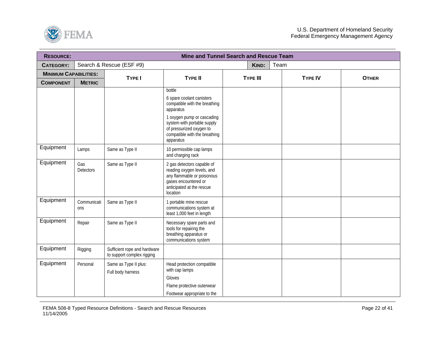

| <b>RESOURCE:</b>             |                    |                                                            |                                                                                                                                                                                                                          | Mine and Tunnel Search and Rescue Team |      |                |              |
|------------------------------|--------------------|------------------------------------------------------------|--------------------------------------------------------------------------------------------------------------------------------------------------------------------------------------------------------------------------|----------------------------------------|------|----------------|--------------|
| <b>CATEGORY:</b>             |                    | Search & Rescue (ESF #9)                                   |                                                                                                                                                                                                                          | KIND:                                  | Team |                |              |
| <b>MINIMUM CAPABILITIES:</b> |                    | TYPE I                                                     | <b>TYPE II</b>                                                                                                                                                                                                           | <b>TYPE III</b>                        |      | <b>TYPE IV</b> |              |
| <b>COMPONENT</b>             | <b>METRIC</b>      |                                                            |                                                                                                                                                                                                                          |                                        |      |                | <b>OTHER</b> |
|                              |                    |                                                            | bottle<br>6 spare coolant canisters<br>compatible with the breathing<br>apparatus<br>1 oxygen pump or cascading<br>system with portable supply<br>of pressurized oxygen to<br>compatible with the breathing<br>apparatus |                                        |      |                |              |
| Equipment                    | Lamps              | Same as Type II                                            | 10 permissible cap lamps<br>and charging rack                                                                                                                                                                            |                                        |      |                |              |
| Equipment                    | Gas<br>Detectors   | Same as Type II                                            | 2 gas detectors capable of<br>reading oxygen levels, and<br>any flammable or poisonous<br>gases encountered or<br>anticipated at the rescue<br>location                                                                  |                                        |      |                |              |
| Equipment                    | Communicati<br>ons | Same as Type II                                            | 1 portable mine rescue<br>communications system at<br>least 1,000 feet in length                                                                                                                                         |                                        |      |                |              |
| Equipment                    | Repair             | Same as Type II                                            | Necessary spare parts and<br>tools for repairing the<br>breathing apparatus or<br>communications system                                                                                                                  |                                        |      |                |              |
| Equipment                    | Rigging            | Sufficient rope and hardware<br>to support complex rigging |                                                                                                                                                                                                                          |                                        |      |                |              |
| Equipment                    | Personal           | Same as Type II plus:<br>Full body harness                 | Head protection compatible<br>with cap lamps<br>Gloves<br>Flame protective outerwear<br>Footwear appropriate to the                                                                                                      |                                        |      |                |              |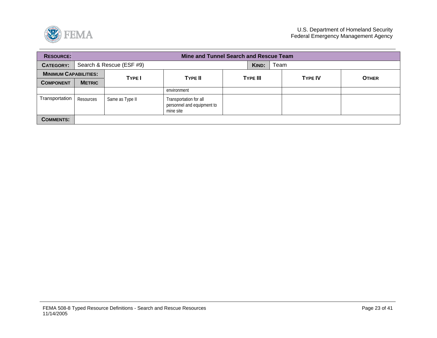

| <b>RESOURCE:</b>             |               | Mine and Tunnel Search and Rescue Team |                                                                   |       |                 |  |                |              |  |  |  |
|------------------------------|---------------|----------------------------------------|-------------------------------------------------------------------|-------|-----------------|--|----------------|--------------|--|--|--|
| <b>CATEGORY:</b>             |               | Search & Rescue (ESF #9)               |                                                                   | KIND: | Team            |  |                |              |  |  |  |
| <b>MINIMUM CAPABILITIES:</b> |               |                                        | <b>TYPE II</b>                                                    |       | <b>TYPE III</b> |  | <b>TYPE IV</b> |              |  |  |  |
| <b>COMPONENT</b>             | <b>METRIC</b> | <b>TYPE</b>                            |                                                                   |       |                 |  |                | <b>OTHER</b> |  |  |  |
|                              |               |                                        | environment                                                       |       |                 |  |                |              |  |  |  |
| Transportation               | Resources     | Same as Type II                        | Transportation for all<br>personnel and equipment to<br>mine site |       |                 |  |                |              |  |  |  |
| <b>COMMENTS:</b>             |               |                                        |                                                                   |       |                 |  |                |              |  |  |  |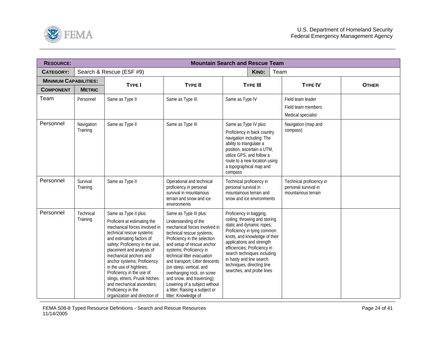<span id="page-23-0"></span>

| <b>RESOURCE:</b>             |                        |                                                                                                                                                                                                                                                                                                                                                                                                                                                          |                                                                                                                                                                                                                                                                                                                                                                                                                                                           | <b>Mountain Search and Rescue Team</b>                                                                                                                                                                                                                                                                                                   |      |                                                                         |              |  |  |
|------------------------------|------------------------|----------------------------------------------------------------------------------------------------------------------------------------------------------------------------------------------------------------------------------------------------------------------------------------------------------------------------------------------------------------------------------------------------------------------------------------------------------|-----------------------------------------------------------------------------------------------------------------------------------------------------------------------------------------------------------------------------------------------------------------------------------------------------------------------------------------------------------------------------------------------------------------------------------------------------------|------------------------------------------------------------------------------------------------------------------------------------------------------------------------------------------------------------------------------------------------------------------------------------------------------------------------------------------|------|-------------------------------------------------------------------------|--------------|--|--|
| <b>CATEGORY:</b>             |                        | Search & Rescue (ESF #9)                                                                                                                                                                                                                                                                                                                                                                                                                                 |                                                                                                                                                                                                                                                                                                                                                                                                                                                           | KIND:                                                                                                                                                                                                                                                                                                                                    | Team |                                                                         |              |  |  |
| <b>MINIMUM CAPABILITIES:</b> |                        | <b>TYPE I</b>                                                                                                                                                                                                                                                                                                                                                                                                                                            | <b>TYPE II</b>                                                                                                                                                                                                                                                                                                                                                                                                                                            | <b>TYPE III</b>                                                                                                                                                                                                                                                                                                                          |      | <b>TYPE IV</b>                                                          | <b>OTHER</b> |  |  |
| <b>COMPONENT</b>             | <b>METRIC</b>          |                                                                                                                                                                                                                                                                                                                                                                                                                                                          |                                                                                                                                                                                                                                                                                                                                                                                                                                                           |                                                                                                                                                                                                                                                                                                                                          |      |                                                                         |              |  |  |
| Team                         | Personnel              | Same as Type II                                                                                                                                                                                                                                                                                                                                                                                                                                          | Same as Type III                                                                                                                                                                                                                                                                                                                                                                                                                                          | Same as Type IV                                                                                                                                                                                                                                                                                                                          |      | Field team leader<br>Field team members<br>Medical specialist           |              |  |  |
| Personnel                    | Navigation<br>Training | Same as Type II                                                                                                                                                                                                                                                                                                                                                                                                                                          | Same as Type III                                                                                                                                                                                                                                                                                                                                                                                                                                          | Same as Type IV plus:<br>Proficiency in back country<br>navigation including: The<br>ability to triangulate a<br>position, ascertain a UTM,<br>utilize GPS, and follow a<br>route to a new location using<br>a topographical map and<br>compass                                                                                          |      | Navigation (map and<br>compass)                                         |              |  |  |
| Personnel                    | Survival<br>Training   | Same as Type II                                                                                                                                                                                                                                                                                                                                                                                                                                          | Operational and technical<br>proficiency in personal<br>survival in mountainous<br>terrain and snow and ice<br>environments                                                                                                                                                                                                                                                                                                                               | Technical proficiency in<br>personal survival in<br>mountainous terrain and<br>snow and ice environments                                                                                                                                                                                                                                 |      | Technical proficiency in<br>personal survival in<br>mountainous terrain |              |  |  |
| Personnel                    | Technical<br>Training  | Same as Type II plus:<br>Proficient at estimating the<br>mechanical forces involved in<br>technical rescue systems<br>and estimating factors of<br>safety; Proficiency in the use,<br>placement and analysis of<br>mechanical anchors and<br>anchor systems; Proficiency<br>in the use of highlines;<br>Proficiency in the use of<br>slings, etriers, Prusik hitches<br>and mechanical ascenders;<br>Proficiency in the<br>organization and direction of | Same as Type III plus:<br>Understanding of the<br>mechanical forces involved in<br>technical rescue systems;<br>Proficiency in the selection<br>and setup of rescue anchor<br>systems; Proficiency in<br>technical litter evacuation<br>and transport; Litter descents<br>(on steep, vertical, and<br>overhanging rock, on scree<br>and snow, and traversing);<br>Lowering of a subject without<br>a litter; Raising a subject or<br>litter; Knowledge of | Proficiency in bagging,<br>coiling, throwing and storing<br>static and dynamic ropes;<br>Proficiency in tying common<br>knots, and knowledge of their<br>applications and strength<br>efficiencies; Proficiency in<br>search techniques including<br>in hasty and line search<br>techniques, directing line<br>searches, and probe lines |      |                                                                         |              |  |  |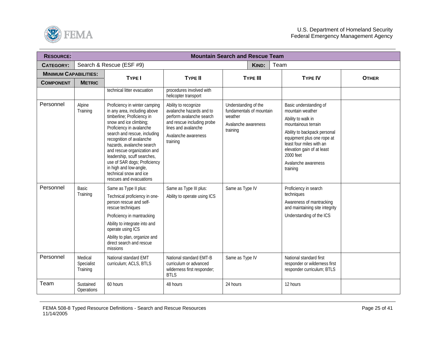

| <b>RESOURCE:</b>             |                                   |                                                                                                                                                                                                                                                                                                                                                                                                                         |                                                                                                                                                                      | <b>Mountain Search and Rescue Team</b>                                                         |                                                                                                                                                                                                                                                                 |              |
|------------------------------|-----------------------------------|-------------------------------------------------------------------------------------------------------------------------------------------------------------------------------------------------------------------------------------------------------------------------------------------------------------------------------------------------------------------------------------------------------------------------|----------------------------------------------------------------------------------------------------------------------------------------------------------------------|------------------------------------------------------------------------------------------------|-----------------------------------------------------------------------------------------------------------------------------------------------------------------------------------------------------------------------------------------------------------------|--------------|
| <b>CATEGORY:</b>             |                                   | Search & Rescue (ESF #9)                                                                                                                                                                                                                                                                                                                                                                                                |                                                                                                                                                                      | KIND:                                                                                          | Team                                                                                                                                                                                                                                                            |              |
| <b>MINIMUM CAPABILITIES:</b> |                                   | <b>TYPE I</b>                                                                                                                                                                                                                                                                                                                                                                                                           | <b>TYPE II</b>                                                                                                                                                       | <b>TYPE III</b>                                                                                | <b>TYPE IV</b>                                                                                                                                                                                                                                                  | <b>OTHER</b> |
| <b>COMPONENT</b>             | <b>METRIC</b>                     |                                                                                                                                                                                                                                                                                                                                                                                                                         |                                                                                                                                                                      |                                                                                                |                                                                                                                                                                                                                                                                 |              |
|                              |                                   | technical litter evacuation                                                                                                                                                                                                                                                                                                                                                                                             | procedures involved with<br>helicopter transport                                                                                                                     |                                                                                                |                                                                                                                                                                                                                                                                 |              |
| Personnel                    | Alpine<br>Training                | Proficiency in winter camping<br>in any area, including above<br>timberline; Proficiency in<br>snow and ice climbing;<br>Proficiency in avalanche<br>search and rescue, including<br>recognition of avalanche<br>hazards, avalanche search<br>and rescue organization and<br>leadership, scuff searches,<br>use of SAR dogs; Proficiency<br>in high and low-angle,<br>technical snow and ice<br>rescues and evacuations | Ability to recognize<br>avalanche hazards and to<br>perform avalanche search<br>and rescue including probe<br>lines and avalanche<br>Avalanche awareness<br>training | Understanding of the<br>fundamentals of mountain<br>weather<br>Avalanche awareness<br>training | Basic understanding of<br>mountain weather<br>Ability to walk in<br>mountainous terrain<br>Ability to backpack personal<br>equipment plus one rope at<br>least four miles with an<br>elevation gain of at least<br>2000 feet<br>Avalanche awareness<br>training |              |
| Personnel                    | Basic<br>Training                 | Same as Type II plus:<br>Technical proficiency in one-<br>person rescue and self-<br>rescue techniques<br>Proficiency in mantracking<br>Ability to integrate into and<br>operate using ICS<br>Ability to plan, organize and<br>direct search and rescue<br>missions                                                                                                                                                     | Same as Type III plus:<br>Ability to operate using ICS                                                                                                               | Same as Type IV                                                                                | Proficiency in search<br>techniques<br>Awareness of mantracking<br>and maintaining site integrity<br>Understanding of the ICS                                                                                                                                   |              |
| Personnel                    | Medical<br>Specialist<br>Training | National standard EMT<br>curriculum; ACLS, BTLS                                                                                                                                                                                                                                                                                                                                                                         | National standard EMT-B<br>curriculum or advanced<br>wilderness first responder;<br><b>BTLS</b>                                                                      | Same as Type IV                                                                                | National standard first<br>responder or wilderness first<br>responder curriculum; BTLS                                                                                                                                                                          |              |
| Team                         | Sustained<br>Operations           | 60 hours                                                                                                                                                                                                                                                                                                                                                                                                                | 48 hours                                                                                                                                                             | 24 hours                                                                                       | 12 hours                                                                                                                                                                                                                                                        |              |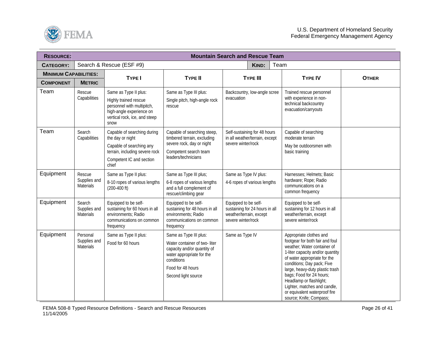

| <b>RESOURCE:</b>             |                                              |                                                                                                                                                    | <b>Mountain Search and Rescue Team</b>                                                                                                                                       |                                                                                                         |                 |      |                                                                                                                                                                                                                                                                                                                                                                                   |              |
|------------------------------|----------------------------------------------|----------------------------------------------------------------------------------------------------------------------------------------------------|------------------------------------------------------------------------------------------------------------------------------------------------------------------------------|---------------------------------------------------------------------------------------------------------|-----------------|------|-----------------------------------------------------------------------------------------------------------------------------------------------------------------------------------------------------------------------------------------------------------------------------------------------------------------------------------------------------------------------------------|--------------|
| <b>CATEGORY:</b>             |                                              | Search & Rescue (ESF #9)                                                                                                                           |                                                                                                                                                                              |                                                                                                         | <b>KIND:</b>    | Team |                                                                                                                                                                                                                                                                                                                                                                                   |              |
| <b>MINIMUM CAPABILITIES:</b> |                                              | <b>TYPE I</b>                                                                                                                                      | <b>TYPE II</b>                                                                                                                                                               |                                                                                                         | <b>TYPE III</b> |      | <b>TYPE IV</b>                                                                                                                                                                                                                                                                                                                                                                    | <b>OTHER</b> |
| <b>COMPONENT</b>             | <b>METRIC</b>                                |                                                                                                                                                    |                                                                                                                                                                              |                                                                                                         |                 |      |                                                                                                                                                                                                                                                                                                                                                                                   |              |
| Team                         | Rescue<br>Capabilities                       | Same as Type II plus:<br>Highly trained rescue<br>personnel with multipitch,<br>high-angle experience on<br>vertical rock, ice, and steep<br>snow  | Same as Type III plus:<br>Single pitch, high-angle rock<br>rescue                                                                                                            | Backcountry, low-angle scree<br>evacuation                                                              |                 |      | Trained rescue personnel<br>with experience in non-<br>technical backcountry<br>evacuation/carryouts                                                                                                                                                                                                                                                                              |              |
| Team                         | Search<br>Capabilities                       | Capable of searching during<br>the day or night<br>Capable of searching any<br>terrain, including severe rock<br>Competent IC and section<br>chief | Capable of searching steep,<br>timbered terrain, excluding<br>severe rock, day or night<br>Competent search team<br>leaders/technicians                                      | Self-sustaining for 48 hours<br>in all weather/terrain, except<br>severe winter/rock                    |                 |      | Capable of searching<br>moderate terrain<br>May be outdoorsmen with<br>basic training                                                                                                                                                                                                                                                                                             |              |
| Equipment                    | Rescue<br>Supplies and<br><b>Materials</b>   | Same as Type II plus:<br>8-10 ropes of various lengths<br>$(200-400)$ ft)                                                                          | Same as Type III plus;<br>6-8 ropes of various lengths<br>and a full complement of<br>rescue/climbing gear                                                                   | Same as Type IV plus:<br>4-6 ropes of various lengths                                                   |                 |      | Harnesses; Helmets; Basic<br>hardware; Rope; Radio<br>communications on a<br>common frequency                                                                                                                                                                                                                                                                                     |              |
| Equipment                    | Search<br>Supplies and<br>Materials          | Equipped to be self-<br>sustaining for 60 hours in all<br>environments; Radio<br>communications on common<br>frequency                             | Equipped to be self-<br>sustaining for 48 hours in all<br>environments; Radio<br>communications on common<br>frequency                                                       | Equipped to be self-<br>sustaining for 24 hours in all<br>weather/terrain, except<br>severe winter/rock |                 |      | Equipped to be self-<br>sustaining for 12 hours in all<br>weather/terrain, except<br>severe winter/rock                                                                                                                                                                                                                                                                           |              |
| Equipment                    | Personal<br>Supplies and<br><b>Materials</b> | Same as Type II plus:<br>Food for 60 hours                                                                                                         | Same as Type III plus:<br>Water container of two-liter<br>capacity and/or quantity of<br>water appropriate for the<br>conditions<br>Food for 48 hours<br>Second light source | Same as Type IV                                                                                         |                 |      | Appropriate clothes and<br>footgear for both fair and foul<br>weather; Water container of<br>1-liter capacity and/or quantity<br>of water appropriate for the<br>conditions; Day pack; Five<br>large, heavy-duty plastic trash<br>bags; Food for 24 hours;<br>Headlamp or flashlight;<br>Lighter, matches and candle,<br>or equivalent waterproof fire<br>source; Knife; Compass; |              |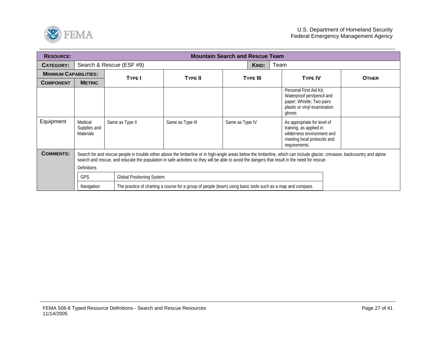

| <b>RESOURCE:</b>             |                                             |                                                                                                                                                                                                                                                                                                                                |                                                                                                             | <b>Mountain Search and Rescue Team</b> |                 |                                                                                                                                     |  |              |
|------------------------------|---------------------------------------------|--------------------------------------------------------------------------------------------------------------------------------------------------------------------------------------------------------------------------------------------------------------------------------------------------------------------------------|-------------------------------------------------------------------------------------------------------------|----------------------------------------|-----------------|-------------------------------------------------------------------------------------------------------------------------------------|--|--------------|
| <b>CATEGORY:</b>             |                                             | Search & Rescue (ESF #9)                                                                                                                                                                                                                                                                                                       |                                                                                                             |                                        | KIND:           | Team                                                                                                                                |  |              |
| <b>MINIMUM CAPABILITIES:</b> |                                             | <b>TYPE I</b>                                                                                                                                                                                                                                                                                                                  | <b>TYPE II</b>                                                                                              |                                        | <b>TYPE III</b> | <b>TYPE IV</b>                                                                                                                      |  |              |
| <b>COMPONENT</b>             | <b>METRIC</b>                               |                                                                                                                                                                                                                                                                                                                                |                                                                                                             |                                        |                 |                                                                                                                                     |  | <b>OTHER</b> |
|                              |                                             |                                                                                                                                                                                                                                                                                                                                |                                                                                                             |                                        |                 | Personal First Aid Kit:<br>Waterproof pen/pencil and<br>paper; Whistle; Two pairs<br>plastic or vinyl examination<br>gloves         |  |              |
| Equipment                    | Medical<br>Supplies and<br><b>Materials</b> | Same as Type II                                                                                                                                                                                                                                                                                                                | Same as Type III                                                                                            | Same as Type IV                        |                 | As appropriate for level of<br>training, as applied in<br>wilderness environment and<br>meeting local protocols and<br>requirements |  |              |
| <b>COMMENTS:</b>             | <b>Definitions</b>                          | Search for and rescue people in trouble either above the timberline or in high-angle areas below the timberline, which can include glacier, crevasse, backcountry and alpine<br>search and rescue, and educate the population in safe activities so they will be able to avoid the dangers that result in the need for rescue. |                                                                                                             |                                        |                 |                                                                                                                                     |  |              |
|                              | <b>GPS</b>                                  | Global Positioning System                                                                                                                                                                                                                                                                                                      |                                                                                                             |                                        |                 |                                                                                                                                     |  |              |
|                              | Navigation                                  |                                                                                                                                                                                                                                                                                                                                | The practice of charting a course for a group of people (team) using basic tools such as a map and compass. |                                        |                 |                                                                                                                                     |  |              |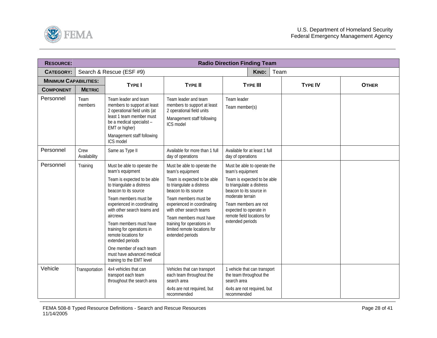<span id="page-27-0"></span>

| <b>RESOURCE:</b>             |                      |                                                                                                                                                                                                                                                                                                                                                                                                                                 |                                                                                                                                                                                                                                                                                                                                   | <b>Radio Direction Finding Team</b>                                                                                                                                                                                                                            |      |                |              |
|------------------------------|----------------------|---------------------------------------------------------------------------------------------------------------------------------------------------------------------------------------------------------------------------------------------------------------------------------------------------------------------------------------------------------------------------------------------------------------------------------|-----------------------------------------------------------------------------------------------------------------------------------------------------------------------------------------------------------------------------------------------------------------------------------------------------------------------------------|----------------------------------------------------------------------------------------------------------------------------------------------------------------------------------------------------------------------------------------------------------------|------|----------------|--------------|
| <b>CATEGORY:</b>             |                      | Search & Rescue (ESF #9)                                                                                                                                                                                                                                                                                                                                                                                                        |                                                                                                                                                                                                                                                                                                                                   | KIND:                                                                                                                                                                                                                                                          | Team |                |              |
| <b>MINIMUM CAPABILITIES:</b> |                      | <b>TYPE I</b>                                                                                                                                                                                                                                                                                                                                                                                                                   | <b>TYPE II</b>                                                                                                                                                                                                                                                                                                                    | <b>TYPE III</b>                                                                                                                                                                                                                                                |      | <b>TYPE IV</b> | <b>OTHER</b> |
| <b>COMPONENT</b>             | <b>METRIC</b>        |                                                                                                                                                                                                                                                                                                                                                                                                                                 |                                                                                                                                                                                                                                                                                                                                   |                                                                                                                                                                                                                                                                |      |                |              |
| Personnel                    | Team<br>members      | Team leader and team<br>members to support at least<br>2 operational field units (at<br>least 1 team member must<br>be a medical specialist -<br>EMT or higher)<br>Management staff following<br>ICS model                                                                                                                                                                                                                      | Team leader and team<br>members to support at least<br>2 operational field units<br>Management staff following<br>ICS model                                                                                                                                                                                                       | Team leader<br>Team member(s)                                                                                                                                                                                                                                  |      |                |              |
| Personnel                    | Crew<br>Availability | Same as Type II                                                                                                                                                                                                                                                                                                                                                                                                                 | Available for more than 1 full<br>day of operations                                                                                                                                                                                                                                                                               | Available for at least 1 full<br>day of operations                                                                                                                                                                                                             |      |                |              |
| Personnel                    | Training             | Must be able to operate the<br>team's equipment<br>Team is expected to be able<br>to triangulate a distress<br>beacon to its source<br>Team members must be<br>experienced in coordinating<br>with other search teams and<br>aircrews<br>Team members must have<br>training for operations in<br>remote locations for<br>extended periods<br>One member of each team<br>must have advanced medical<br>training to the EMT level | Must be able to operate the<br>team's equipment<br>Team is expected to be able<br>to triangulate a distress<br>beacon to its source<br>Team members must be<br>experienced in coordinating<br>with other search teams<br>Team members must have<br>training for operations in<br>limited remote locations for<br>extended periods | Must be able to operate the<br>team's equipment<br>Team is expected to be able<br>to triangulate a distress<br>beacon to its source in<br>moderate terrain<br>Team members are not<br>expected to operate in<br>remote field locations for<br>extended periods |      |                |              |
| Vehicle                      | Transportation       | 4x4 vehicles that can<br>transport each team<br>throughout the search area                                                                                                                                                                                                                                                                                                                                                      | Vehicles that can transport<br>each team throughout the<br>search area<br>4x4s are not required, but<br>recommended                                                                                                                                                                                                               | 1 vehicle that can transport<br>the team throughout the<br>search area<br>4x4s are not required, but<br>recommended                                                                                                                                            |      |                |              |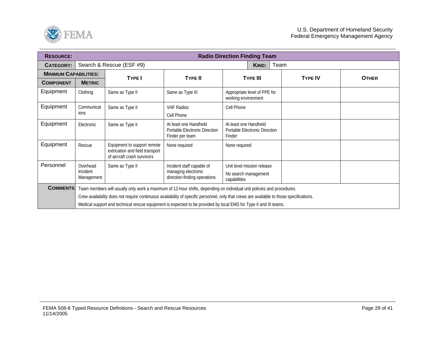

| <b>RESOURCE:</b>             |                                    |                                                                                                                                                                                                                                                                                                                                                                                         |                                                                                  | <b>Radio Direction Finding Team</b>                                |                |              |  |  |
|------------------------------|------------------------------------|-----------------------------------------------------------------------------------------------------------------------------------------------------------------------------------------------------------------------------------------------------------------------------------------------------------------------------------------------------------------------------------------|----------------------------------------------------------------------------------|--------------------------------------------------------------------|----------------|--------------|--|--|
| <b>CATEGORY:</b>             |                                    | Search & Rescue (ESF #9)                                                                                                                                                                                                                                                                                                                                                                |                                                                                  | Team<br>KIND:                                                      |                |              |  |  |
| <b>MINIMUM CAPABILITIES:</b> |                                    | <b>TYPE I</b>                                                                                                                                                                                                                                                                                                                                                                           | <b>TYPE II</b>                                                                   | <b>TYPE III</b>                                                    | <b>TYPE IV</b> |              |  |  |
| <b>COMPONENT</b>             | <b>METRIC</b>                      |                                                                                                                                                                                                                                                                                                                                                                                         |                                                                                  |                                                                    |                | <b>OTHER</b> |  |  |
| Equipment                    | Clothing                           | Same as Type II                                                                                                                                                                                                                                                                                                                                                                         | Same as Type III                                                                 | Appropriate level of PPE for<br>working environment                |                |              |  |  |
| Equipment                    | Communicat<br>ions                 | Same as Type II                                                                                                                                                                                                                                                                                                                                                                         | <b>VHF Radios</b><br>Cell Phone                                                  | Cell Phone                                                         |                |              |  |  |
| Equipment                    | Electronic                         | Same as Type II                                                                                                                                                                                                                                                                                                                                                                         | At least one Handheld<br>Portable Electronic Direction<br>Finder per team        | At least one Handheld<br>Portable Electronic Direction<br>Finder   |                |              |  |  |
| Equipment                    | Rescue                             | Equipment to support remote<br>extrication and field transport<br>of aircraft crash survivors                                                                                                                                                                                                                                                                                           | None required                                                                    | None required                                                      |                |              |  |  |
| Personnel                    | Overhead<br>Incident<br>Management | Same as Type II                                                                                                                                                                                                                                                                                                                                                                         | Incident staff capable of<br>managing electronic<br>direction-finding operations | Unit level mission release<br>No search management<br>capabilities |                |              |  |  |
| <b>COMMENTS:</b>             |                                    | Team members will usually only work a maximum of 12-hour shifts, depending on individual unit policies and procedures.<br>Crew availability does not require continuous availability of specific personnel, only that crews are available to those specifications.<br>Medical support and technical rescue equipment is expected to be provided by local EMS for Type II and III teams. |                                                                                  |                                                                    |                |              |  |  |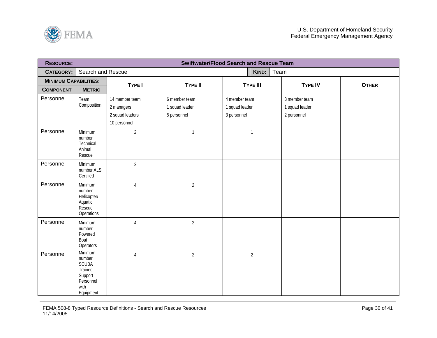<span id="page-29-0"></span>

| <b>RESOURCE:</b>             |                                                                                           |                                                                 |                                                | <b>Swiftwater/Flood Search and Rescue Team</b> |                                                |              |
|------------------------------|-------------------------------------------------------------------------------------------|-----------------------------------------------------------------|------------------------------------------------|------------------------------------------------|------------------------------------------------|--------------|
| <b>CATEGORY:</b>             | Search and Rescue                                                                         |                                                                 |                                                | KIND:                                          | Team                                           |              |
| <b>MINIMUM CAPABILITIES:</b> |                                                                                           | TYPE I                                                          |                                                |                                                |                                                |              |
| <b>COMPONENT</b>             | <b>METRIC</b>                                                                             |                                                                 | <b>TYPE II</b>                                 | <b>TYPE III</b>                                | <b>TYPE IV</b>                                 | <b>OTHER</b> |
| Personnel                    | Team<br>Composition                                                                       | 14 member team<br>2 managers<br>2 squad leaders<br>10 personnel | 6 member team<br>1 squad leader<br>5 personnel | 4 member team<br>1 squad leader<br>3 personnel | 3 member team<br>1 squad leader<br>2 personnel |              |
| Personnel                    | Minimum<br>number<br>Technical<br>Animal<br>Rescue                                        | $\overline{2}$                                                  | $\mathbf{1}$                                   | $\mathbf{1}$                                   |                                                |              |
| Personnel                    | Minimum<br>number ALS<br>Certified                                                        | $\overline{2}$                                                  |                                                |                                                |                                                |              |
| Personnel                    | Minimum<br>number<br>Helicopter/<br>Aquatic<br>Rescue<br>Operations                       | $\overline{4}$                                                  | $\overline{2}$                                 |                                                |                                                |              |
| Personnel                    | Minimum<br>number<br>Powered<br>Boat<br>Operators                                         | $\sqrt{4}$                                                      | $\overline{2}$                                 |                                                |                                                |              |
| Personnel                    | Minimum<br>number<br><b>SCUBA</b><br>Trained<br>Support<br>Personnel<br>with<br>Equipment | $\overline{4}$                                                  | $\overline{2}$                                 | $\overline{2}$                                 |                                                |              |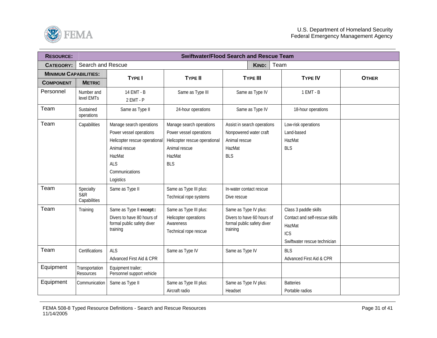

| <b>RESOURCE:</b>             |                                             |                                                                                                                                                              |                                                                                                                               | <b>Swiftwater/Flood Search and Rescue Team</b>                                                 |                                                                                                          |              |
|------------------------------|---------------------------------------------|--------------------------------------------------------------------------------------------------------------------------------------------------------------|-------------------------------------------------------------------------------------------------------------------------------|------------------------------------------------------------------------------------------------|----------------------------------------------------------------------------------------------------------|--------------|
| <b>CATEGORY:</b>             | Search and Rescue                           |                                                                                                                                                              |                                                                                                                               | KIND:                                                                                          | Team                                                                                                     |              |
| <b>MINIMUM CAPABILITIES:</b> |                                             | <b>TYPE I</b>                                                                                                                                                | <b>TYPE II</b>                                                                                                                | <b>TYPE III</b>                                                                                | <b>TYPE IV</b>                                                                                           | <b>OTHER</b> |
| <b>COMPONENT</b>             | <b>METRIC</b>                               |                                                                                                                                                              |                                                                                                                               |                                                                                                |                                                                                                          |              |
| Personnel                    | Number and<br>level EMTs                    | 14 EMT - B<br>2 EMT - P                                                                                                                                      | Same as Type III                                                                                                              | Same as Type IV                                                                                | $1$ EMT - B                                                                                              |              |
| Team                         | Sustained<br>operations                     | Same as Type II                                                                                                                                              | 24-hour operations                                                                                                            | Same as Type IV                                                                                | 18-hour operations                                                                                       |              |
| Team                         | Capabilities                                | Manage search operations<br>Power vessel operations<br>Helicopter rescue operational<br>Animal rescue<br>HazMat<br><b>ALS</b><br>Communications<br>Logistics | Manage search operations<br>Power vessel operations<br>Helicopter rescue operational<br>Animal rescue<br>HazMat<br><b>BLS</b> | Assist in search operations<br>Nonpowered water craft<br>Animal rescue<br>HazMat<br><b>BLS</b> | Low-risk operations<br>Land-based<br>HazMat<br><b>BLS</b>                                                |              |
| Team                         | Specialty<br><b>S&amp;R</b><br>Capabilities | Same as Type II                                                                                                                                              | Same as Type III plus:<br>Technical rope systems                                                                              | In-water contact rescue<br>Dive rescue                                                         |                                                                                                          |              |
| Team                         | Training                                    | Same as Type II except::<br>Divers to have 80 hours of<br>formal public safety diver<br>training                                                             | Same as Type III plus:<br>Helicopter operations<br>Awareness<br>Technical rope rescue                                         | Same as Type IV plus:<br>Divers to have 60 hours of<br>formal public safety diver<br>training  | Class 3 paddle skills<br>Contact and self-rescue skills<br>HazMat<br>ICS<br>Swiftwater rescue technician |              |
| Team                         | Certifications                              | <b>ALS</b><br>Advanced First Aid & CPR                                                                                                                       | Same as Type IV                                                                                                               | Same as Type IV                                                                                | <b>BLS</b><br>Advanced First Aid & CPR                                                                   |              |
| Equipment                    | Transportation<br>Resources                 | Equipment trailer;<br>Personnel support vehicle                                                                                                              |                                                                                                                               |                                                                                                |                                                                                                          |              |
| Equipment                    | Communication                               | Same as Type II                                                                                                                                              | Same as Type III plus:<br>Aircraft radio                                                                                      | Same as Type IV plus:<br>Headset                                                               | <b>Batteries</b><br>Portable radios                                                                      |              |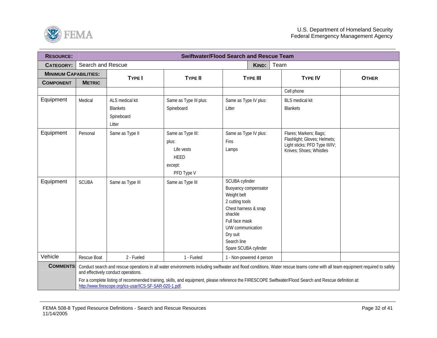

| <b>RESOURCE:</b>             |                   |                                                                                                                                                                                                                                                                                                                                                                                |                                                                                  | <b>Swiftwater/Flood Search and Rescue Team</b>                                                                                                                                                        |                                                                                                                     |              |  |  |
|------------------------------|-------------------|--------------------------------------------------------------------------------------------------------------------------------------------------------------------------------------------------------------------------------------------------------------------------------------------------------------------------------------------------------------------------------|----------------------------------------------------------------------------------|-------------------------------------------------------------------------------------------------------------------------------------------------------------------------------------------------------|---------------------------------------------------------------------------------------------------------------------|--------------|--|--|
| <b>CATEGORY:</b>             | Search and Rescue |                                                                                                                                                                                                                                                                                                                                                                                |                                                                                  | KIND:                                                                                                                                                                                                 | Team                                                                                                                |              |  |  |
| <b>MINIMUM CAPABILITIES:</b> |                   | <b>TYPE I</b>                                                                                                                                                                                                                                                                                                                                                                  | <b>TYPE II</b>                                                                   | <b>TYPE III</b>                                                                                                                                                                                       | <b>TYPE IV</b>                                                                                                      | <b>OTHER</b> |  |  |
| <b>COMPONENT</b>             | <b>METRIC</b>     |                                                                                                                                                                                                                                                                                                                                                                                |                                                                                  |                                                                                                                                                                                                       |                                                                                                                     |              |  |  |
|                              |                   |                                                                                                                                                                                                                                                                                                                                                                                |                                                                                  |                                                                                                                                                                                                       | Cell phone                                                                                                          |              |  |  |
| Equipment                    | Medical           | ALS medical kit<br><b>Blankets</b><br>Spineboard<br>Litter                                                                                                                                                                                                                                                                                                                     | Same as Type III plus:<br>Spineboard                                             | Same as Type IV plus:<br>Litter                                                                                                                                                                       | <b>BLS</b> medical kit<br><b>Blankets</b>                                                                           |              |  |  |
| Equipment                    | Personal          | Same as Type II                                                                                                                                                                                                                                                                                                                                                                | Same as Type III:<br>plus:<br>Life vests<br><b>HEED</b><br>except:<br>PFD Type V | Same as Type IV plus:<br><b>Fins</b><br>Lamps                                                                                                                                                         | Flares; Markers; Bags;<br>Flashlight; Gloves; Helmets;<br>Light sticks; PFD Type III/IV;<br>Knives; Shoes; Whistles |              |  |  |
| Equipment                    | <b>SCUBA</b>      | Same as Type III                                                                                                                                                                                                                                                                                                                                                               | Same as Type III                                                                 | SCUBA cylinder<br>Buoyancy compensator<br>Weight belt<br>2 cutting tools<br>Chest harness & snap<br>shackle<br>Full face mask<br>U/W communication<br>Dry suit<br>Search line<br>Spare SCUBA cylinder |                                                                                                                     |              |  |  |
| Vehicle                      | Rescue Boat       | 2 - Fueled                                                                                                                                                                                                                                                                                                                                                                     | 1 - Fueled                                                                       | 1 - Non-powered 4 person                                                                                                                                                                              |                                                                                                                     |              |  |  |
| <b>COMMENTS:</b>             |                   | Conduct search and rescue operations in all water environments including swiftwater and flood conditions. Water rescue teams come with all team equipment required to safely<br>and effectively conduct operations.<br>For a complete listing of recommended training, skills, and equipment, please reference the FIRESCOPE Swiftwater/Flood Search and Rescue definition at: |                                                                                  |                                                                                                                                                                                                       |                                                                                                                     |              |  |  |

http://www.firescope.org/ics-usar/ICS-SF-SAR-020-1.pdf.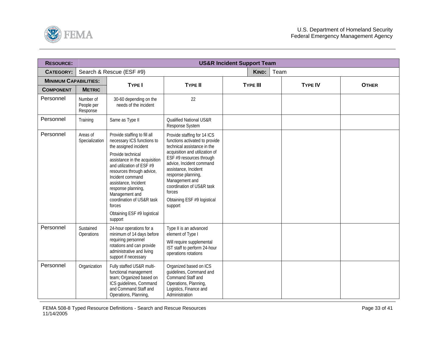<span id="page-32-0"></span>

| <b>RESOURCE:</b>             |                                     |                                                                                                                                                                                                                                                                                                                                                                          |                                                                                                                                                                                                                                                                                                                                         | <b>US&amp;R Incident Support Team</b> |      |                |              |
|------------------------------|-------------------------------------|--------------------------------------------------------------------------------------------------------------------------------------------------------------------------------------------------------------------------------------------------------------------------------------------------------------------------------------------------------------------------|-----------------------------------------------------------------------------------------------------------------------------------------------------------------------------------------------------------------------------------------------------------------------------------------------------------------------------------------|---------------------------------------|------|----------------|--------------|
| <b>CATEGORY:</b>             |                                     | Search & Rescue (ESF #9)                                                                                                                                                                                                                                                                                                                                                 |                                                                                                                                                                                                                                                                                                                                         | KIND:                                 | Team |                |              |
| <b>MINIMUM CAPABILITIES:</b> |                                     | <b>TYPE I</b>                                                                                                                                                                                                                                                                                                                                                            | <b>TYPE II</b>                                                                                                                                                                                                                                                                                                                          | <b>TYPE III</b>                       |      | <b>TYPE IV</b> | <b>OTHER</b> |
| <b>COMPONENT</b>             | <b>METRIC</b>                       |                                                                                                                                                                                                                                                                                                                                                                          |                                                                                                                                                                                                                                                                                                                                         |                                       |      |                |              |
| Personnel                    | Number of<br>People per<br>Response | 30-60 depending on the<br>needs of the incident                                                                                                                                                                                                                                                                                                                          | 22                                                                                                                                                                                                                                                                                                                                      |                                       |      |                |              |
| Personnel                    | Training                            | Same as Type II                                                                                                                                                                                                                                                                                                                                                          | <b>Qualified National US&amp;R</b><br>Response System                                                                                                                                                                                                                                                                                   |                                       |      |                |              |
| Personnel                    | Areas of<br>Specialization          | Provide staffing to fill all<br>necessary ICS functions to<br>the assigned incident<br>Provide technical<br>assistance in the acquisition<br>and utilization of ESF #9<br>resources through advice,<br>Incident command<br>assistance, Incident<br>response planning,<br>Management and<br>coordination of US&R task<br>forces<br>Obtaining ESF #9 logistical<br>support | Provide staffing for 14 ICS<br>functions activated to provide<br>technical assistance in the<br>acquisition and utilization of<br>ESF #9 resources through<br>advice, Incident command<br>assistance, Incident<br>response planning,<br>Management and<br>coordination of US&R task<br>forces<br>Obtaining ESF #9 logistical<br>support |                                       |      |                |              |
| Personnel                    | Sustained<br>Operations             | 24-hour operations for a<br>minimum of 14 days before<br>requiring personnel<br>rotations and can provide<br>administrative and living<br>support if necessary                                                                                                                                                                                                           | Type II is an advanced<br>element of Type I<br>Will require supplemental<br>IST staff to perform 24-hour<br>operations rotations                                                                                                                                                                                                        |                                       |      |                |              |
| Personnel                    | Organization                        | Fully staffed US&R multi-<br>functional management<br>team; Organized based on<br>ICS guidelines, Command<br>and Command Staff and<br>Operations, Planning,                                                                                                                                                                                                              | Organized based on ICS<br>quidelines, Command and<br>Command Staff and<br>Operations, Planning,<br>Logistics, Finance and<br>Administration                                                                                                                                                                                             |                                       |      |                |              |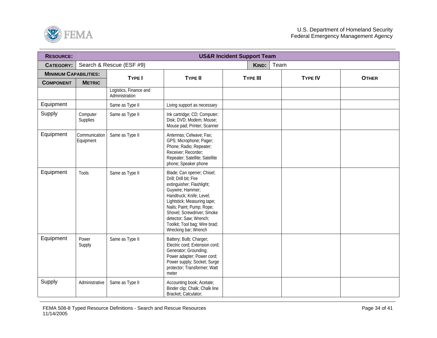

| <b>RESOURCE:</b>             |                            |                                          |                                                                                                                                                                                                                                                                                                                | <b>US&amp;R Incident Support Team</b> |                |              |
|------------------------------|----------------------------|------------------------------------------|----------------------------------------------------------------------------------------------------------------------------------------------------------------------------------------------------------------------------------------------------------------------------------------------------------------|---------------------------------------|----------------|--------------|
| <b>CATEGORY:</b>             |                            | Search & Rescue (ESF #9)                 |                                                                                                                                                                                                                                                                                                                | KIND:                                 | Team           |              |
| <b>MINIMUM CAPABILITIES:</b> |                            |                                          |                                                                                                                                                                                                                                                                                                                |                                       |                |              |
| <b>COMPONENT</b>             | <b>METRIC</b>              | <b>TYPE I</b>                            | <b>TYPE II</b>                                                                                                                                                                                                                                                                                                 | <b>TYPE III</b>                       | <b>TYPE IV</b> | <b>OTHER</b> |
|                              |                            | Logistics, Finance and<br>Administration |                                                                                                                                                                                                                                                                                                                |                                       |                |              |
| Equipment                    |                            | Same as Type II                          | Living support as necessary                                                                                                                                                                                                                                                                                    |                                       |                |              |
| Supply                       | Computer<br>Supplies       | Same as Type II                          | Ink cartridge; CD; Computer;<br>Disk; DVD; Modem; Mouse;<br>Mouse pad; Printer; Scanner                                                                                                                                                                                                                        |                                       |                |              |
| Equipment                    | Communication<br>Equipment | Same as Type II                          | Antennas; Celwave; Fax;<br>GPS; Microphone; Pager;<br>Phone; Radio; Repeater;<br>Receiver; Recorder;<br>Repeater; Satellite; Satellite<br>phone; Speaker phone                                                                                                                                                 |                                       |                |              |
| Equipment                    | Tools                      | Same as Type II                          | Blade; Can opener; Chisel;<br>Drill; Drill bit; Fire<br>extinguisher; Flashlight;<br>Guywire; Hammer;<br>Handtruck; Knife; Level;<br>Lightstick; Measuring tape;<br>Nails; Paint; Pump; Rope;<br>Shovel; Screwdriver; Smoke<br>detector; Saw; Wrench;<br>Toolkit; Tool bag; Wire brad;<br>Wrecking bar; Wrench |                                       |                |              |
| Equipment                    | Power<br>Supply            | Same as Type II                          | Battery; Bulb; Charger;<br>Electric cord; Extension cord;<br>Generator; Grounding;<br>Power adapter; Power cord;<br>Power supply; Socket; Surge<br>protector; Transformer; Watt<br>meter                                                                                                                       |                                       |                |              |
| Supply                       | Administrative             | Same as Type II                          | Accounting book; Acetate;<br>Binder clip; Chalk; Chalk line<br>Bracket; Calculator;                                                                                                                                                                                                                            |                                       |                |              |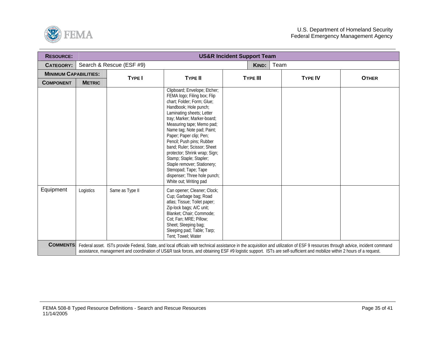

| <b>RESOURCE:</b>             |               |                          |                                                                                                                                                                                                                                                                                                                                                                                                                                                                                                               | <b>US&amp;R Incident Support Team</b> |                                                                                                                                                                                                                                                                                                                                                            |              |
|------------------------------|---------------|--------------------------|---------------------------------------------------------------------------------------------------------------------------------------------------------------------------------------------------------------------------------------------------------------------------------------------------------------------------------------------------------------------------------------------------------------------------------------------------------------------------------------------------------------|---------------------------------------|------------------------------------------------------------------------------------------------------------------------------------------------------------------------------------------------------------------------------------------------------------------------------------------------------------------------------------------------------------|--------------|
| CATEGORY:                    |               | Search & Rescue (ESF #9) |                                                                                                                                                                                                                                                                                                                                                                                                                                                                                                               | KIND:                                 | Team                                                                                                                                                                                                                                                                                                                                                       |              |
| <b>MINIMUM CAPABILITIES:</b> |               | <b>TYPE I</b>            | <b>TYPE II</b>                                                                                                                                                                                                                                                                                                                                                                                                                                                                                                | <b>TYPE III</b>                       | <b>TYPE IV</b>                                                                                                                                                                                                                                                                                                                                             | <b>OTHER</b> |
| <b>COMPONENT</b>             | <b>METRIC</b> |                          |                                                                                                                                                                                                                                                                                                                                                                                                                                                                                                               |                                       |                                                                                                                                                                                                                                                                                                                                                            |              |
|                              |               |                          | Clipboard; Envelope; Etcher;<br>FEMA logo; Filing box; Flip<br>chart; Folder; Form; Glue;<br>Handbook; Hole punch;<br>Laminating sheets; Letter<br>tray; Marker; Marker-board;<br>Measuring tape; Memo pad;<br>Name tag; Note pad; Paint;<br>Paper; Paper clip; Pen;<br>Pencil; Push pins; Rubber<br>band; Ruler; Scissor; Sheet<br>protector; Shrink wrap; Sign;<br>Stamp; Staple; Stapler;<br>Staple remover; Stationery;<br>Stenopad; Tape; Tape<br>dispenser; Three hole punch;<br>White out; Writing pad |                                       |                                                                                                                                                                                                                                                                                                                                                            |              |
| Equipment                    | Logistics     | Same as Type II          | Can opener; Cleaner; Clock;<br>Cup; Garbage bag; Road<br>atlas; Tissue; Toilet paper;<br>Zip-lock bags; A/C unit;<br>Blanket: Chair: Commode:<br>Cot; Fan; MRE; Pillow;<br>Sheet; Sleeping bag;<br>Sleeping pad; Table; Tarp;<br>Tent; Towel; Water                                                                                                                                                                                                                                                           |                                       |                                                                                                                                                                                                                                                                                                                                                            |              |
| <b>COMMENTS:</b>             |               |                          |                                                                                                                                                                                                                                                                                                                                                                                                                                                                                                               |                                       | Federal asset. ISTs provide Federal, State, and local officials with technical assistance in the acquisition and utilization of ESF 9 resources through advice, incident command<br>assistance, management and coordination of US&R task forces, and obtaining ESF #9 logistic support. ISTs are self-sufficient and mobilize within 2 hours of a request. |              |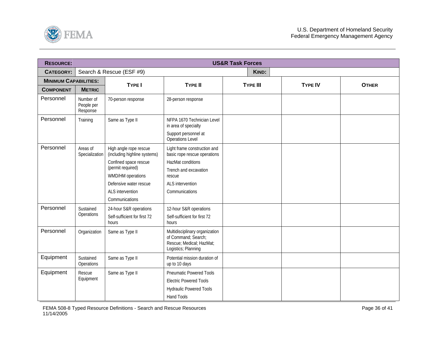<span id="page-35-0"></span>

| <b>RESOURCE:</b>             |                                     |                                                                                                                                                                                           |                                                                                                                                                            | <b>US&amp;R Task Forces</b> |                |              |
|------------------------------|-------------------------------------|-------------------------------------------------------------------------------------------------------------------------------------------------------------------------------------------|------------------------------------------------------------------------------------------------------------------------------------------------------------|-----------------------------|----------------|--------------|
| <b>CATEGORY:</b>             |                                     | Search & Rescue (ESF #9)                                                                                                                                                                  |                                                                                                                                                            | KIND:                       |                |              |
| <b>MINIMUM CAPABILITIES:</b> |                                     |                                                                                                                                                                                           |                                                                                                                                                            |                             |                |              |
| <b>COMPONENT</b>             | <b>METRIC</b>                       | <b>TYPE I</b>                                                                                                                                                                             | <b>TYPE II</b>                                                                                                                                             | <b>TYPE III</b>             | <b>TYPE IV</b> | <b>OTHER</b> |
| Personnel                    | Number of<br>People per<br>Response | 70-person response                                                                                                                                                                        | 28-person response                                                                                                                                         |                             |                |              |
| Personnel                    | Training                            | Same as Type II                                                                                                                                                                           | NFPA 1670 Technician Level<br>in area of specialty<br>Support personnel at<br>Operations Level                                                             |                             |                |              |
| Personnel                    | Areas of<br>Specialization          | High angle rope rescue<br>(including highline systems)<br>Confined space rescue<br>(permit required)<br>WMD/HM operations<br>Defensive water rescue<br>ALS intervention<br>Communications | Light frame construction and<br>basic rope rescue operations<br>HazMat conditions<br>Trench and excavation<br>rescue<br>ALS intervention<br>Communications |                             |                |              |
| Personnel                    | Sustained<br>Operations             | 24-hour S&R operations<br>Self-sufficient for first 72<br>hours                                                                                                                           | 12-hour S&R operations<br>Self-sufficient for first 72<br>hours                                                                                            |                             |                |              |
| Personnel                    | Organization                        | Same as Type II                                                                                                                                                                           | Multidisciplinary organization<br>of Command; Search;<br>Rescue; Medical; HazMat;<br>Logistics; Planning                                                   |                             |                |              |
| Equipment                    | Sustained<br>Operations             | Same as Type II                                                                                                                                                                           | Potential mission duration of<br>up to 10 days                                                                                                             |                             |                |              |
| Equipment                    | Rescue<br>Equipment                 | Same as Type II                                                                                                                                                                           | <b>Pneumatic Powered Tools</b><br><b>Electric Powered Tools</b><br><b>Hydraulic Powered Tools</b><br>Hand Tools                                            |                             |                |              |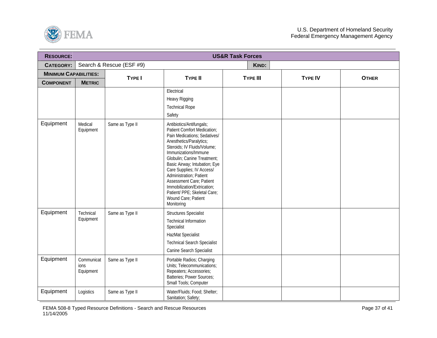

| <b>RESOURCE:</b>             |                                 |                          |                                                                                                                                                                                                                                                                                                                                                                                                                                          | <b>US&amp;R Task Forces</b> |                |              |
|------------------------------|---------------------------------|--------------------------|------------------------------------------------------------------------------------------------------------------------------------------------------------------------------------------------------------------------------------------------------------------------------------------------------------------------------------------------------------------------------------------------------------------------------------------|-----------------------------|----------------|--------------|
| <b>CATEGORY:</b>             |                                 | Search & Rescue (ESF #9) |                                                                                                                                                                                                                                                                                                                                                                                                                                          | KIND:                       |                |              |
| <b>MINIMUM CAPABILITIES:</b> |                                 | <b>TYPE I</b>            | <b>TYPE II</b>                                                                                                                                                                                                                                                                                                                                                                                                                           | <b>TYPE III</b>             | <b>TYPE IV</b> | <b>OTHER</b> |
| <b>COMPONENT</b>             | <b>METRIC</b>                   |                          |                                                                                                                                                                                                                                                                                                                                                                                                                                          |                             |                |              |
|                              |                                 |                          | Electrical<br>Heavy Rigging<br><b>Technical Rope</b><br>Safety                                                                                                                                                                                                                                                                                                                                                                           |                             |                |              |
| Equipment                    | Medical<br>Equipment            | Same as Type II          | Antibiotics/Antifungals;<br>Patient Comfort Medication;<br>Pain Medications; Sedatives/<br>Anesthetics/Paralytics;<br>Steroids; IV Fluids/Volume;<br>Immunizations/Immune<br>Globulin; Canine Treatment;<br>Basic Airway; Intubation; Eye<br>Care Supplies; IV Access/<br>Administration; Patient<br><b>Assessment Care; Patient</b><br>Immobilization/Extrication;<br>Patient/ PPE; Skeletal Care;<br>Wound Care; Patient<br>Monitoring |                             |                |              |
| Equipment                    | Technical<br>Equipment          | Same as Type II          | <b>Structures Specialist</b><br><b>Technical Information</b><br>Specialist<br>HazMat Specialist<br><b>Technical Search Specialist</b><br>Canine Search Specialist                                                                                                                                                                                                                                                                        |                             |                |              |
| Equipment                    | Communicat<br>ions<br>Equipment | Same as Type II          | Portable Radios; Charging<br>Units; Telecommunications;<br>Repeaters; Accessories;<br>Batteries; Power Sources;<br>Small Tools; Computer                                                                                                                                                                                                                                                                                                 |                             |                |              |
| Equipment                    | Logistics                       | Same as Type II          | Water/Fluids; Food; Shelter;<br>Sanitation; Safety;                                                                                                                                                                                                                                                                                                                                                                                      |                             |                |              |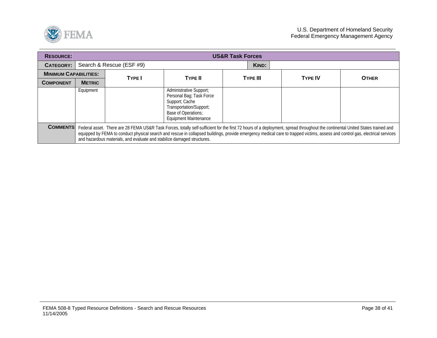

| <b>RESOURCE:</b> |                                   | <b>US&amp;R Task Forces</b>                                             |                                                                                                                                                                                                                                                                                                                                                                 |                 |                |              |  |  |  |  |
|------------------|-----------------------------------|-------------------------------------------------------------------------|-----------------------------------------------------------------------------------------------------------------------------------------------------------------------------------------------------------------------------------------------------------------------------------------------------------------------------------------------------------------|-----------------|----------------|--------------|--|--|--|--|
| <b>CATEGORY:</b> | Search & Rescue (ESF #9)<br>KIND: |                                                                         |                                                                                                                                                                                                                                                                                                                                                                 |                 |                |              |  |  |  |  |
|                  | <b>MINIMUM CAPABILITIES:</b>      |                                                                         | <b>TYPE II</b>                                                                                                                                                                                                                                                                                                                                                  | <b>TYPE III</b> | <b>TYPE IV</b> |              |  |  |  |  |
| <b>COMPONENT</b> | <b>METRIC</b>                     | <b>TYPE</b>                                                             |                                                                                                                                                                                                                                                                                                                                                                 |                 |                | <b>OTHER</b> |  |  |  |  |
|                  | Equipment                         |                                                                         | Administrative Support;<br>Personal Bag; Task Force<br>Support; Cache<br>Transportation/Support;<br>Base of Operations;<br><b>Equipment Maintenance</b>                                                                                                                                                                                                         |                 |                |              |  |  |  |  |
| <b>COMMENTS:</b> |                                   | and hazardous materials, and evaluate and stabilize damaged structures. | Federal asset. There are 28 FEMA US&R Task Forces, totally self-sufficient for the first 72 hours of a deployment, spread throughout the continental United States trained and<br>equipped by FEMA to conduct physical search and rescue in collapsed buildings, provide emergency medical care to trapped victims, assess and control gas, electrical services |                 |                |              |  |  |  |  |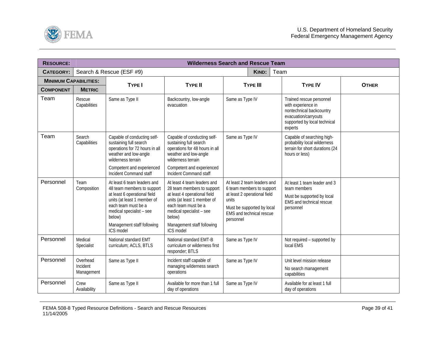<span id="page-38-0"></span>

| <b>RESOURCE:</b><br><b>Wilderness Search and Rescue Team</b> |                                    |                                                                                                                                                                                                                                  |                                                                                                                                                                                                                                  |                                                                                                                                                                                 |                                                                                                                                               |              |  |
|--------------------------------------------------------------|------------------------------------|----------------------------------------------------------------------------------------------------------------------------------------------------------------------------------------------------------------------------------|----------------------------------------------------------------------------------------------------------------------------------------------------------------------------------------------------------------------------------|---------------------------------------------------------------------------------------------------------------------------------------------------------------------------------|-----------------------------------------------------------------------------------------------------------------------------------------------|--------------|--|
| <b>CATEGORY:</b>                                             |                                    | Search & Rescue (ESF #9)                                                                                                                                                                                                         | <b>KIND:</b><br>Team                                                                                                                                                                                                             |                                                                                                                                                                                 |                                                                                                                                               |              |  |
| <b>MINIMUM CAPABILITIES:</b>                                 |                                    | <b>TYPE I</b>                                                                                                                                                                                                                    | <b>TYPE II</b>                                                                                                                                                                                                                   | <b>TYPE III</b>                                                                                                                                                                 | <b>TYPE IV</b>                                                                                                                                | <b>OTHER</b> |  |
| <b>COMPONENT</b>                                             | <b>METRIC</b>                      |                                                                                                                                                                                                                                  |                                                                                                                                                                                                                                  |                                                                                                                                                                                 |                                                                                                                                               |              |  |
| Team                                                         | Rescue<br>Capabilities             | Same as Type II                                                                                                                                                                                                                  | Backcountry, low-angle<br>evacuation                                                                                                                                                                                             | Same as Type IV                                                                                                                                                                 | Trained rescue personnel<br>with experience in<br>nontechnical backcountry<br>evacuation/carryouts<br>supported by local technical<br>experts |              |  |
| Team                                                         | Search<br>Capabilities             | Capable of conducting self-<br>sustaining full search<br>operations for 72 hours in all<br>weather and low-angle<br>wilderness terrain<br>Competent and experienced                                                              | Capable of conducting self-<br>sustaining full search<br>operations for 48 hours in all<br>weather and low-angle<br>wilderness terrain<br>Competent and experienced                                                              | Same as Type IV                                                                                                                                                                 | Capable of searching high-<br>probability local wilderness<br>terrain for short durations (24<br>hours or less)                               |              |  |
|                                                              |                                    | Incident Command staff                                                                                                                                                                                                           | Incident Command staff                                                                                                                                                                                                           |                                                                                                                                                                                 |                                                                                                                                               |              |  |
| Personnel                                                    | Team<br>Composition                | At least 6 team leaders and<br>48 team members to support<br>at least 6 operational field<br>units (at least 1 member of<br>each team must be a<br>medical specialist - see<br>below)<br>Management staff following<br>ICS model | At least 4 team leaders and<br>28 team members to support<br>at least 4 operational field<br>units (at least 1 member of<br>each team must be a<br>medical specialist - see<br>below)<br>Management staff following<br>ICS model | At least 2 team leaders and<br>6 team members to support<br>at least 2 operational field<br>units<br>Must be supported by local<br><b>EMS and technical rescue</b><br>personnel | At least 1 team leader and 3<br>team members<br>Must be supported by local<br>EMS and technical rescue<br>personnel                           |              |  |
| Personnel                                                    | Medical<br>Specialist              | National standard EMT<br>curriculum; ACLS, BTLS                                                                                                                                                                                  | National standard EMT-B<br>curriculum or wilderness first<br>responder; BTLS                                                                                                                                                     | Same as Type IV                                                                                                                                                                 | Not required - supported by<br>local EMS                                                                                                      |              |  |
| Personnel                                                    | Overhead<br>Incident<br>Management | Same as Type II                                                                                                                                                                                                                  | Incident staff capable of<br>managing wilderness search<br>operations                                                                                                                                                            | Same as Type IV                                                                                                                                                                 | Unit level mission release<br>No search management<br>capabilities                                                                            |              |  |
| Personnel                                                    | Crew<br>Availability               | Same as Type II                                                                                                                                                                                                                  | Available for more than 1 full<br>day of operations                                                                                                                                                                              | Same as Type IV                                                                                                                                                                 | Available for at least 1 full<br>day of operations                                                                                            |              |  |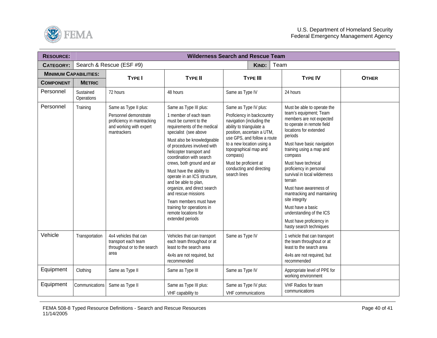

| <b>RESOURCE:</b>             | <b>Wilderness Search and Rescue Team</b> |                                                                                                                        |                                                                                                                                                                                                                                                                                                                                                                                                                                                                                                                                    |                                                                                                                                                                                                                                                                                                                  |                                                                                                                                                                                                                                                                                                                                                                                                                                                                                                           |              |  |
|------------------------------|------------------------------------------|------------------------------------------------------------------------------------------------------------------------|------------------------------------------------------------------------------------------------------------------------------------------------------------------------------------------------------------------------------------------------------------------------------------------------------------------------------------------------------------------------------------------------------------------------------------------------------------------------------------------------------------------------------------|------------------------------------------------------------------------------------------------------------------------------------------------------------------------------------------------------------------------------------------------------------------------------------------------------------------|-----------------------------------------------------------------------------------------------------------------------------------------------------------------------------------------------------------------------------------------------------------------------------------------------------------------------------------------------------------------------------------------------------------------------------------------------------------------------------------------------------------|--------------|--|
| <b>CATEGORY:</b>             |                                          | Search & Rescue (ESF #9)                                                                                               |                                                                                                                                                                                                                                                                                                                                                                                                                                                                                                                                    | Team<br>KIND:                                                                                                                                                                                                                                                                                                    |                                                                                                                                                                                                                                                                                                                                                                                                                                                                                                           |              |  |
| <b>MINIMUM CAPABILITIES:</b> |                                          |                                                                                                                        | <b>TYPE II</b>                                                                                                                                                                                                                                                                                                                                                                                                                                                                                                                     | <b>TYPE III</b>                                                                                                                                                                                                                                                                                                  | <b>TYPE IV</b>                                                                                                                                                                                                                                                                                                                                                                                                                                                                                            | <b>OTHER</b> |  |
| <b>COMPONENT</b>             | <b>METRIC</b>                            | <b>TYPE I</b>                                                                                                          |                                                                                                                                                                                                                                                                                                                                                                                                                                                                                                                                    |                                                                                                                                                                                                                                                                                                                  |                                                                                                                                                                                                                                                                                                                                                                                                                                                                                                           |              |  |
| Personnel                    | Sustained<br>Operations                  | 72 hours                                                                                                               | 48 hours                                                                                                                                                                                                                                                                                                                                                                                                                                                                                                                           | Same as Type IV                                                                                                                                                                                                                                                                                                  | 24 hours                                                                                                                                                                                                                                                                                                                                                                                                                                                                                                  |              |  |
| Personnel                    | Training                                 | Same as Type II plus:<br>Personnel demonstrate<br>proficiency in mantracking<br>and working with expert<br>mantrackers | Same as Type III plus:<br>1 member of each team<br>must be current to the<br>requirements of the medical<br>specialist (see above<br>Must also be knowledgeable<br>of procedures involved with<br>helicopter transport and<br>coordination with search<br>crews, both ground and air<br>Must have the ability to<br>operate in an ICS structure,<br>and be able to plan,<br>organize, and direct search<br>and rescue missions<br>Team members must have<br>training for operations in<br>remote locations for<br>extended periods | Same as Type IV plus:<br>Proficiency in backcountry<br>navigation (including the<br>ability to triangulate a<br>position, ascertain a UTM,<br>use GPS, and follow a route<br>to a new location using a<br>topographical map and<br>compass)<br>Must be proficient at<br>conducting and directing<br>search lines | Must be able to operate the<br>team's equipment; Team<br>members are not expected<br>to operate in remote field<br>locations for extended<br>periods<br>Must have basic navigation<br>training using a map and<br>compass<br>Must have technical<br>proficiency in personal<br>survival in local wilderness<br>terrain<br>Must have awareness of<br>mantracking and maintaining<br>site integrity<br>Must have a basic<br>understanding of the ICS<br>Must have proficiency in<br>hasty search techniques |              |  |
| Vehicle                      | Transportation                           | 4x4 vehicles that can<br>transport each team<br>throughout or to the search<br>area                                    | Vehicles that can transport<br>each team throughout or at<br>least to the search area<br>4x4s are not required, but<br>recommended                                                                                                                                                                                                                                                                                                                                                                                                 | Same as Type IV                                                                                                                                                                                                                                                                                                  | 1 vehicle that can transport<br>the team throughout or at<br>least to the search area<br>4x4s are not required, but<br>recommended                                                                                                                                                                                                                                                                                                                                                                        |              |  |
| Equipment                    | Clothing                                 | Same as Type II                                                                                                        | Same as Type III                                                                                                                                                                                                                                                                                                                                                                                                                                                                                                                   | Same as Type IV                                                                                                                                                                                                                                                                                                  | Appropriate level of PPE for<br>working environment                                                                                                                                                                                                                                                                                                                                                                                                                                                       |              |  |
| Equipment                    | Communications                           | Same as Type II                                                                                                        | Same as Type III plus:<br>VHF capability to                                                                                                                                                                                                                                                                                                                                                                                                                                                                                        | Same as Type IV plus:<br><b>VHF</b> communications                                                                                                                                                                                                                                                               | VHF Radios for team<br>communications                                                                                                                                                                                                                                                                                                                                                                                                                                                                     |              |  |